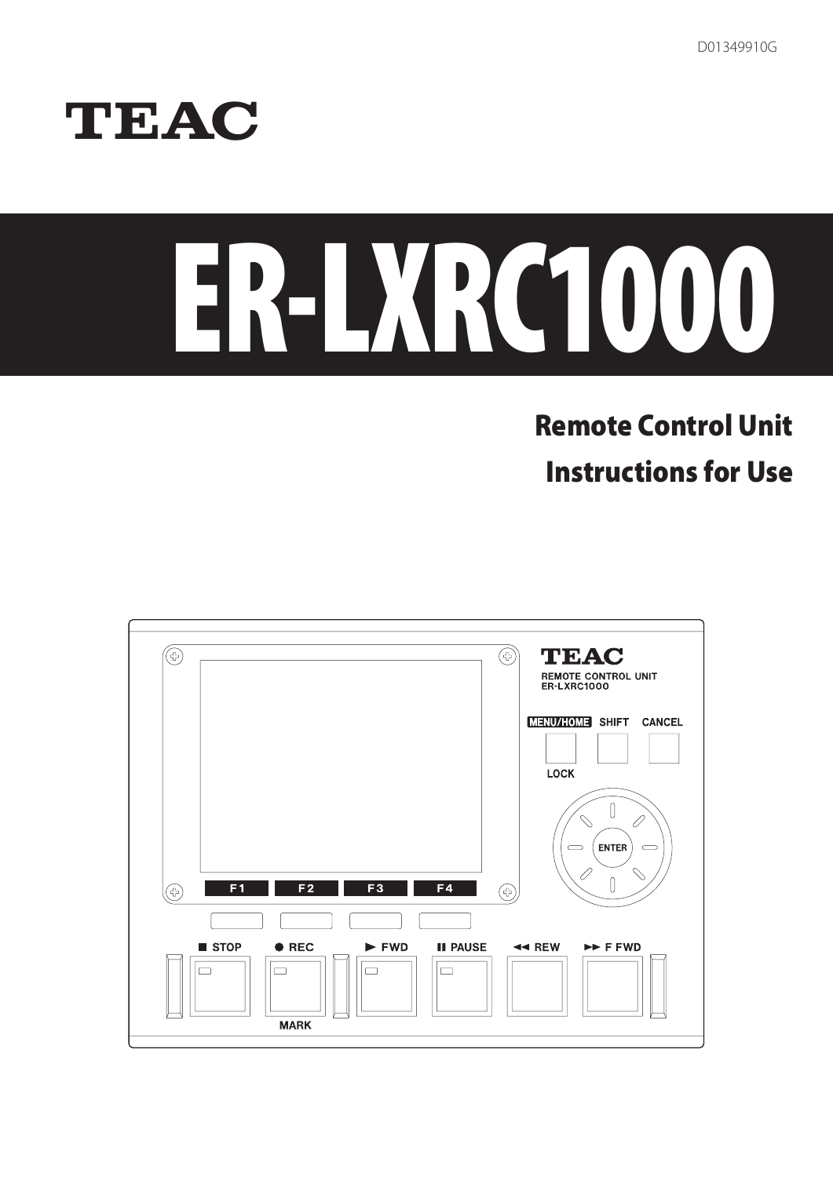D01349910G

# TEAC

# ER-LXRC1000

# Remote Control Unit

Instructions for Use

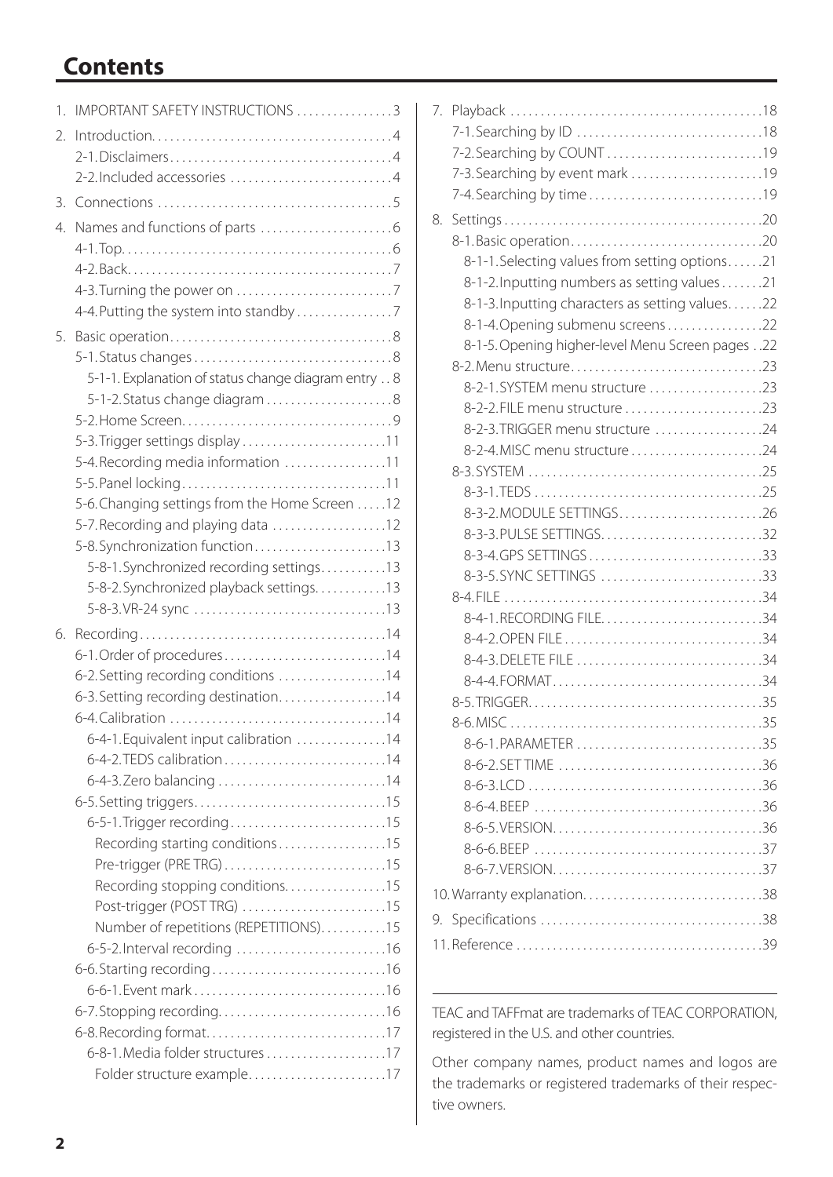# **Contents**

| 1. | IMPORTANT SAFETY INSTRUCTIONS 3                     |
|----|-----------------------------------------------------|
| 2. |                                                     |
|    |                                                     |
|    |                                                     |
| 3. |                                                     |
| 4. |                                                     |
|    |                                                     |
|    |                                                     |
|    |                                                     |
|    | 4-4. Putting the system into standby 7              |
| 5. |                                                     |
|    |                                                     |
|    | 5-1-1. Explanation of status change diagram entry 8 |
|    | 5-1-2. Status change diagram8                       |
|    |                                                     |
|    | 5-3. Trigger settings display 11                    |
|    | 5-4. Recording media information 11                 |
|    |                                                     |
|    | 5-6. Changing settings from the Home Screen 12      |
|    | 5-7. Recording and playing data 12                  |
|    | 5-8. Synchronization function13                     |
|    | 5-8-1. Synchronized recording settings. 13          |
|    | 5-8-2. Synchronized playback settings. 13           |
|    |                                                     |
| 6. |                                                     |
|    | 6-1. Order of procedures14                          |
|    | 6-2. Setting recording conditions 14                |
|    | 6-3. Setting recording destination. 14              |
|    |                                                     |
|    | 6-4-1. Equivalent input calibration 14              |
|    |                                                     |
|    |                                                     |
|    |                                                     |
|    | Recording starting conditions15                     |
|    | Pre-trigger (PRE TRG)15                             |
|    | Recording stopping conditions15                     |
|    | Post-trigger (POST TRG) 15                          |
|    | Number of repetitions (REPETITIONS)15               |
|    | 6-5-2. Interval recording 16                        |
|    |                                                     |
|    |                                                     |
|    |                                                     |
|    |                                                     |
|    |                                                     |
|    | Folder structure example17                          |
|    |                                                     |

| 7. |                                                  |
|----|--------------------------------------------------|
|    |                                                  |
|    | 7-2. Searching by COUNT 19                       |
|    | 7-3. Searching by event mark 19                  |
|    |                                                  |
| 8. |                                                  |
|    |                                                  |
|    | 8-1-1. Selecting values from setting options21   |
|    | 8-1-2. Inputting numbers as setting values 21    |
|    | 8-1-3. Inputting characters as setting values22  |
|    | 8-1-4. Opening submenu screens22                 |
|    | 8-1-5. Opening higher-level Menu Screen pages 22 |
|    |                                                  |
|    | 8-2-1.SYSTEM menu structure 23                   |
|    |                                                  |
|    | 8-2-3. TRIGGER menu structure 24                 |
|    |                                                  |
|    |                                                  |
|    |                                                  |
|    | 8-3-2. MODULE SETTINGS26                         |
|    | 8-3-3. PULSE SETTINGS32                          |
|    | 8-3-4.GPS SETTINGS33                             |
|    | 8-3-5. SYNC SETTINGS 33                          |
|    |                                                  |
|    |                                                  |
|    |                                                  |
|    |                                                  |
|    |                                                  |
|    |                                                  |
|    |                                                  |
|    |                                                  |
|    |                                                  |
|    |                                                  |
|    |                                                  |
|    |                                                  |
|    |                                                  |
|    |                                                  |
|    |                                                  |
|    |                                                  |
|    |                                                  |

TEAC and TAFFmat are trademarks of TEAC CORPORATION, registered in the U.S. and other countries.

Other company names, product names and logos are the trademarks or registered trademarks of their respective owners.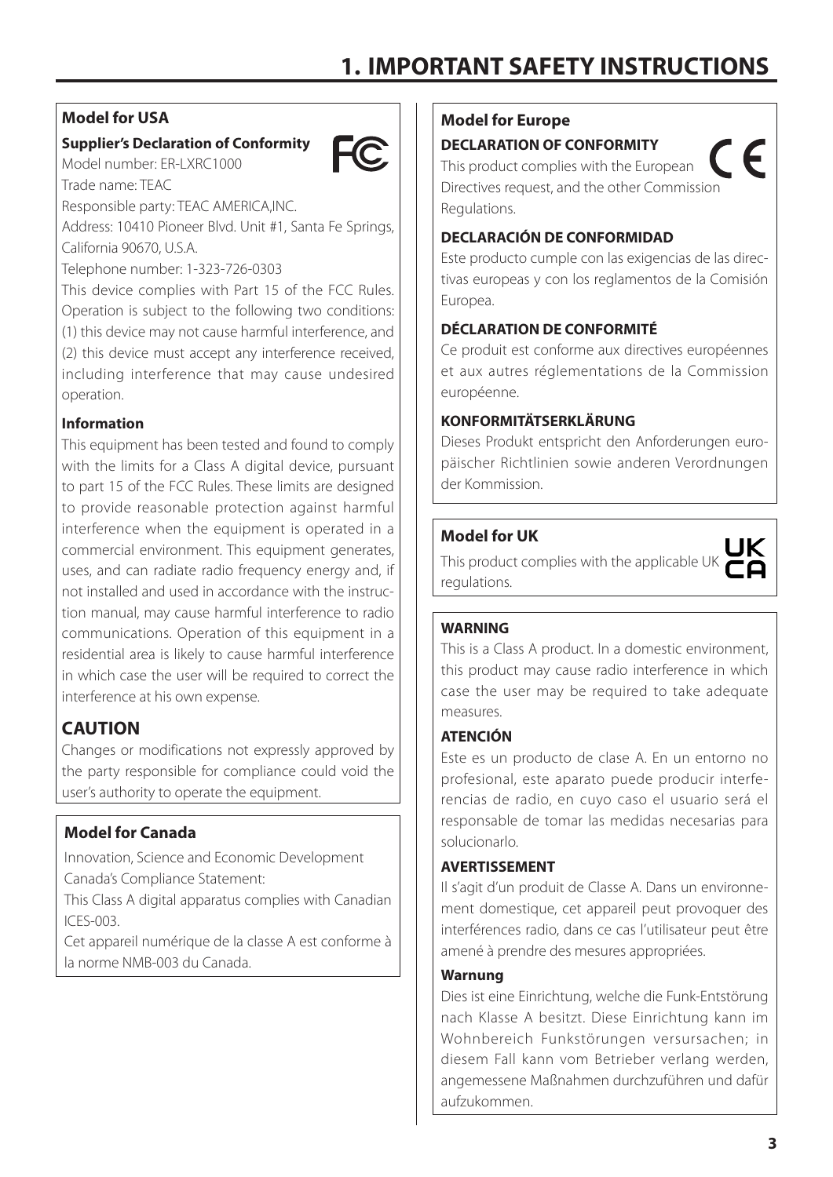## <span id="page-2-0"></span>**Model for USA**

Trade name: TEAC

#### **Supplier's Declaration of Conformity**



Responsible party: TEAC AMERICA,INC.

Model number: ER-LXRC1000

Address: 10410 Pioneer Blvd. Unit #1, Santa Fe Springs, California 90670, U.S.A.

Telephone number: 1-323-726-0303

This device complies with Part 15 of the FCC Rules. Operation is subject to the following two conditions: (1) this device may not cause harmful interference, and (2) this device must accept any interference received, including interference that may cause undesired operation.

#### **Information**

This equipment has been tested and found to comply with the limits for a Class A digital device, pursuant to part 15 of the FCC Rules. These limits are designed to provide reasonable protection against harmful interference when the equipment is operated in a commercial environment. This equipment generates, uses, and can radiate radio frequency energy and, if not installed and used in accordance with the instruction manual, may cause harmful interference to radio communications. Operation of this equipment in a residential area is likely to cause harmful interference in which case the user will be required to correct the interference at his own expense.

# **CAUTION**

Changes or modifications not expressly approved by the party responsible for compliance could void the user's authority to operate the equipment.

#### **Model for Canada**

Innovation, Science and Economic Development Canada's Compliance Statement:

This Class A digital apparatus complies with Canadian ICES-003.

Cet appareil numérique de la classe A est conforme à la norme NMB-003 du Canada.

#### **Model for Europe**

**DECLARATION OF CONFORMITY**

This product complies with the European Directives request, and the other Commission Regulations.

#### **DECLARACIÓN DE CONFORMIDAD**

Este producto cumple con las exigencias de las directivas europeas y con los reglamentos de la Comisión Europea.

 $\epsilon$ 

#### **DÉCLARATION DE CONFORMITÉ**

Ce produit est conforme aux directives européennes et aux autres réglementations de la Commission européenne.

#### **KONFORMITÄTSERKLÄRUNG**

Dieses Produkt entspricht den Anforderungen europäischer Richtlinien sowie anderen Verordnungen der Kommission.

#### **Model for UK**

This product complies with the applicable UK regulations.

#### **WARNING**

This is a Class A product. In a domestic environment, this product may cause radio interference in which case the user may be required to take adequate measures.

#### **ATENCIÓN**

Este es un producto de clase A. En un entorno no profesional, este aparato puede producir interferencias de radio, en cuyo caso el usuario será el responsable de tomar las medidas necesarias para solucionarlo.

#### **AVERTISSEMENT**

Il s'agit d'un produit de Classe A. Dans un environnement domestique, cet appareil peut provoquer des interférences radio, dans ce cas l'utilisateur peut être amené à prendre des mesures appropriées.

#### **Warnung**

Dies ist eine Einrichtung, welche die Funk-Entstörung nach Klasse A besitzt. Diese Einrichtung kann im Wohnbereich Funkstörungen versursachen; in diesem Fall kann vom Betrieber verlang werden, angemessene Maßnahmen durchzuführen und dafür aufzukommen.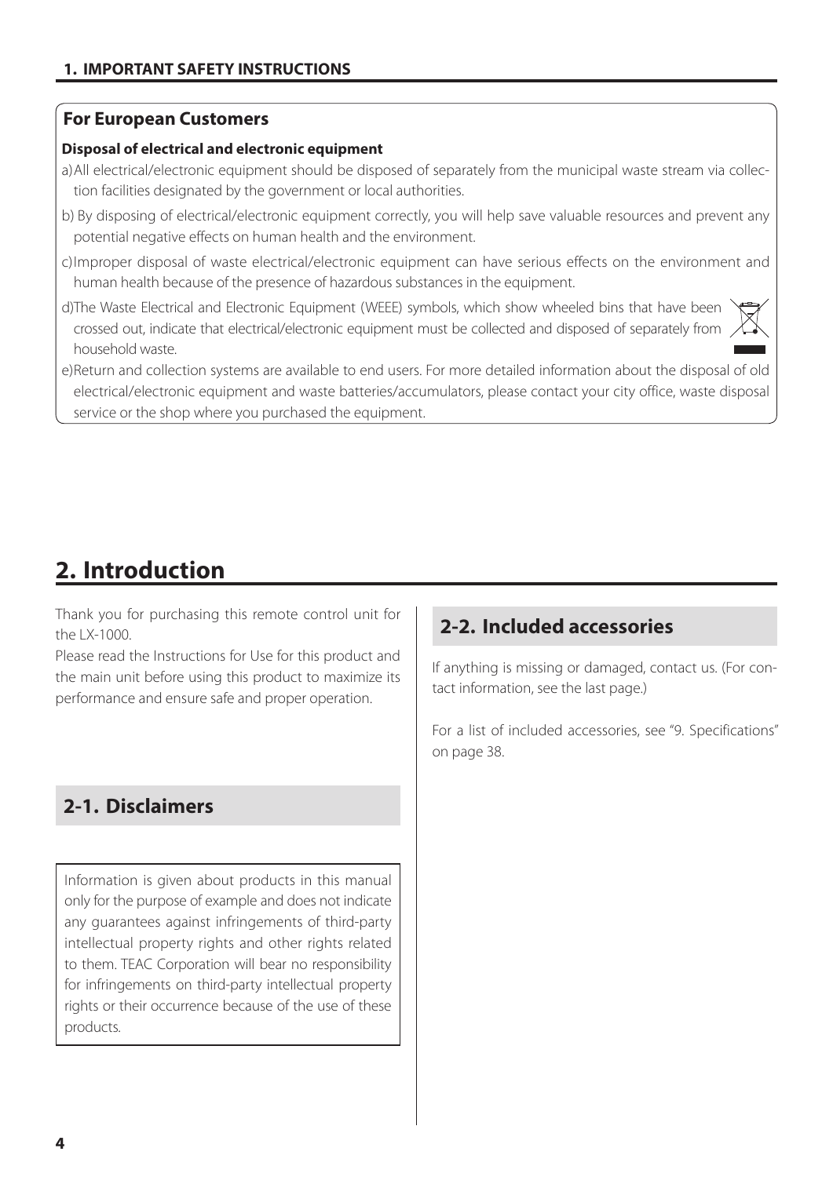#### <span id="page-3-0"></span>**For European Customers**

#### **Disposal of electrical and electronic equipment**

- a)All electrical/electronic equipment should be disposed of separately from the municipal waste stream via collection facilities designated by the government or local authorities.
- b) By disposing of electrical/electronic equipment correctly, you will help save valuable resources and prevent any potential negative effects on human health and the environment.
- c)Improper disposal of waste electrical/electronic equipment can have serious effects on the environment and human health because of the presence of hazardous substances in the equipment.
- d)The Waste Electrical and Electronic Equipment (WEEE) symbols, which show wheeled bins that have been crossed out, indicate that electrical/electronic equipment must be collected and disposed of separately from household waste.



# **2. Introduction**

Thank you for purchasing this remote control unit for the LX-1000.

Please read the Instructions for Use for this product and the main unit before using this product to maximize its performance and ensure safe and proper operation.

# **2-1. Disclaimers**

Information is given about products in this manual only for the purpose of example and does not indicate any guarantees against infringements of third-party intellectual property rights and other rights related to them. TEAC Corporation will bear no responsibility for infringements on third-party intellectual property rights or their occurrence because of the use of these products.

# **2-2. Included accessories**

If anything is missing or damaged, contact us. (For contact information, see the last page.)

For a list of included accessories, see ["9. Specifications"](#page-37-1)  [on page 38.](#page-37-1)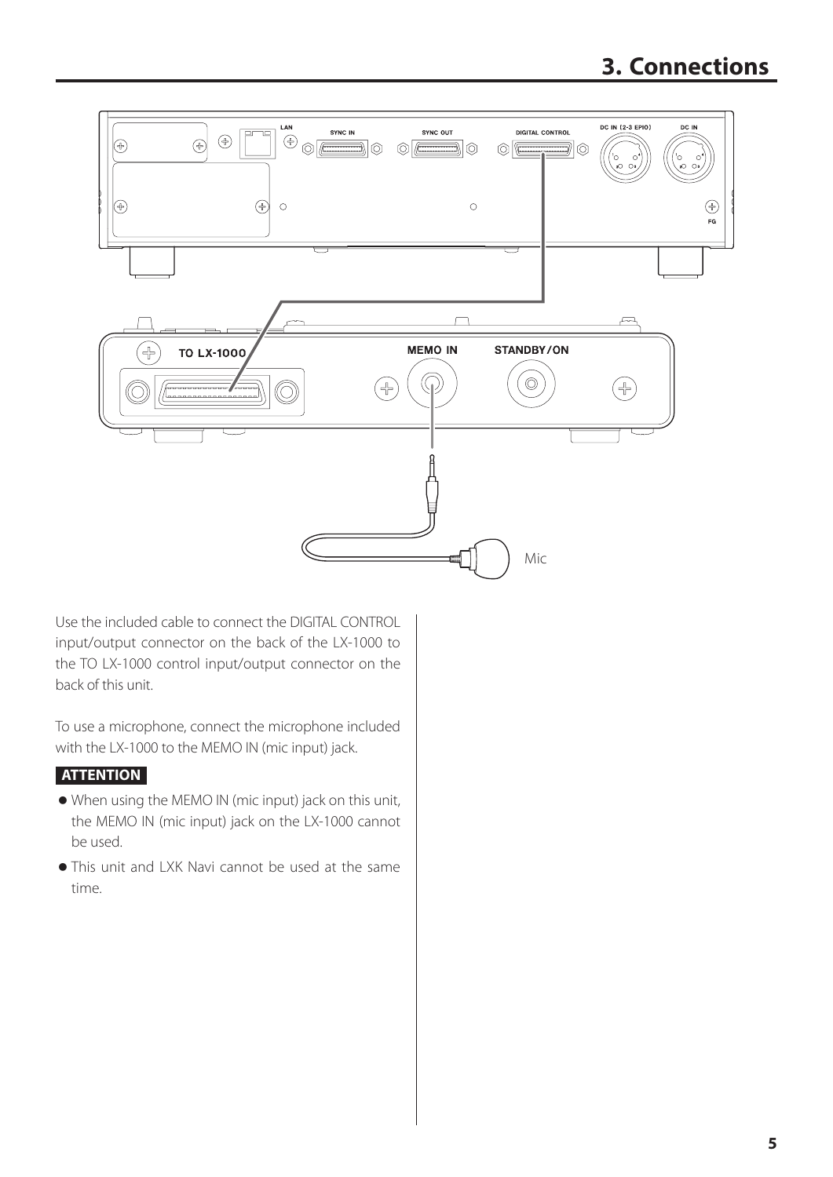# **3. Connections**

<span id="page-4-0"></span>

Use the included cable to connect the DIGITAL CONTROL input/output connector on the back of the LX-1000 to the TO LX-1000 control input/output connector on the back of this unit.

To use a microphone, connect the microphone included with the LX-1000 to the MEMO IN (mic input) jack.

#### **ATTENTION**

- o When using the MEMO IN (mic input) jack on this unit, the MEMO IN (mic input) jack on the LX-1000 cannot be used.
- o This unit and LXK Navi cannot be used at the same time.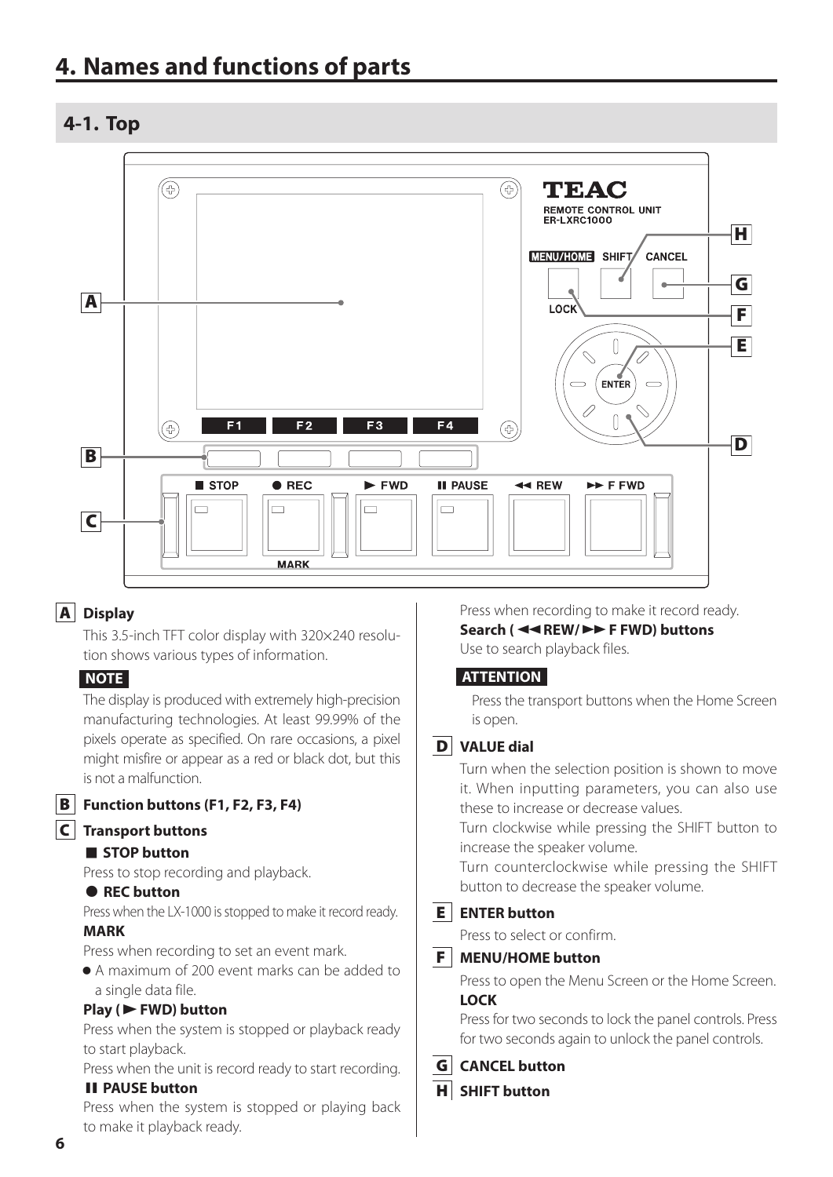# <span id="page-5-0"></span>**4. Names and functions of parts**

## **4-1. Top**



#### A **Display**

This 3.5-inch TFT color display with 320×240 resolution shows various types of information.

#### **NOTE**

The display is produced with extremely high-precision manufacturing technologies. At least 99.99% of the pixels operate as specified. On rare occasions, a pixel might misfire or appear as a red or black dot, but this is not a malfunction.

B **Function buttons (F1, F2, F3, F4)**

#### C **Transport buttons**

#### 8 **STOP button**

Press to stop recording and playback.

#### 0 **REC button**

Press when the LX-1000 is stopped to make it record ready. **MARK**

Press when recording to set an event mark.

o A maximum of 200 event marks can be added to a single data file.

#### **Play (**7**FWD) button**

Press when the system is stopped or playback ready to start playback.

Press when the unit is record ready to start recording.

#### **II PAUSE button**

Press when the system is stopped or playing back to make it playback ready.

Press when recording to make it record ready. **Search (**m**REW/**,**F FWD) buttons** Use to search playback files.

#### **ATTENTION**

Press the transport buttons when the Home Screen is open.

#### D **VALUE dial**

Turn when the selection position is shown to move it. When inputting parameters, you can also use these to increase or decrease values.

Turn clockwise while pressing the SHIFT button to increase the speaker volume.

Turn counterclockwise while pressing the SHIFT button to decrease the speaker volume.

#### E **ENTER button**

Press to select or confirm.

#### F **MENU/HOME button**

Press to open the Menu Screen or the Home Screen. **LOCK**

Press for two seconds to lock the panel controls. Press for two seconds again to unlock the panel controls.

- G **CANCEL button**
- H **SHIFT button**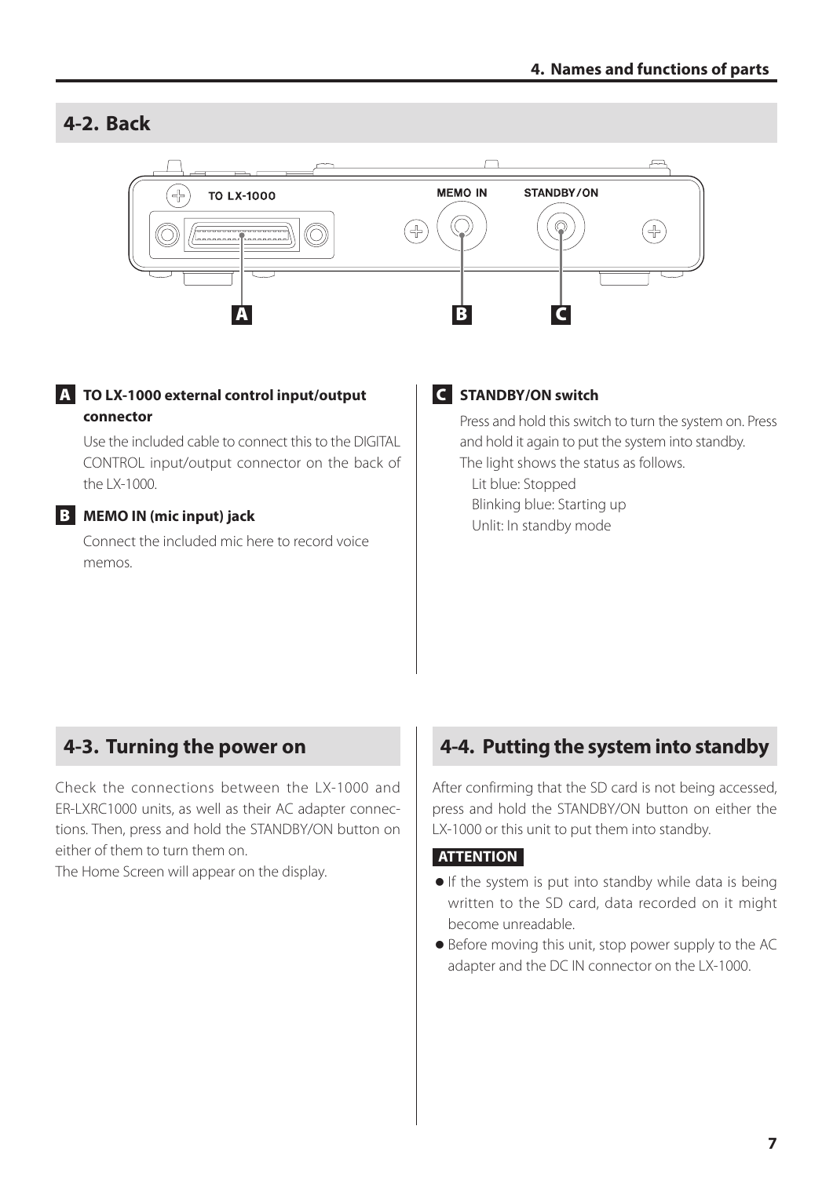# <span id="page-6-0"></span>**4-2. Back**



#### A **TO LX-1000 external control input/output connector**

Use the included cable to connect this to the DIGITAL CONTROL input/output connector on the back of the LX-1000.

#### B **MEMO IN (mic input) jack**

Connect the included mic here to record voice memos.

#### C **STANDBY/ON switch**

Press and hold this switch to turn the system on. Press and hold it again to put the system into standby. The light shows the status as follows. Lit blue: Stopped

Blinking blue: Starting up Unlit: In standby mode

# **4-3. Turning the power on**

Check the connections between the LX-1000 and ER-LXRC1000 units, as well as their AC adapter connections. Then, press and hold the STANDBY/ON button on either of them to turn them on.

The Home Screen will appear on the display.

# **4-4. Putting the system into standby**

After confirming that the SD card is not being accessed, press and hold the STANDBY/ON button on either the LX-1000 or this unit to put them into standby.

#### **ATTENTION**

- o If the system is put into standby while data is being written to the SD card, data recorded on it might become unreadable.
- o Before moving this unit, stop power supply to the AC adapter and the DC IN connector on the LX-1000.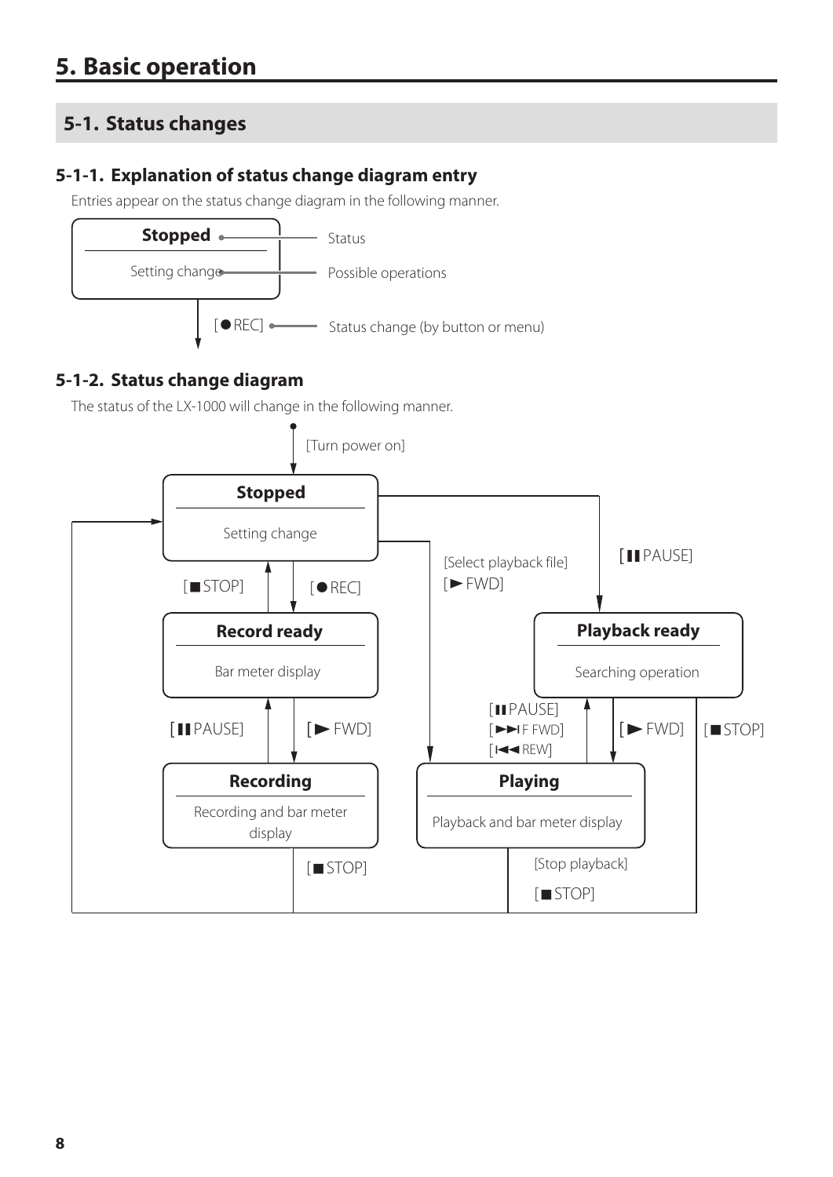# <span id="page-7-0"></span>**5-1. Status changes**

# **5-1-1. Explanation of status change diagram entry**

Entries appear on the status change diagram in the following manner.



# **5-1-2. Status change diagram**

The status of the LX-1000 will change in the following manner.

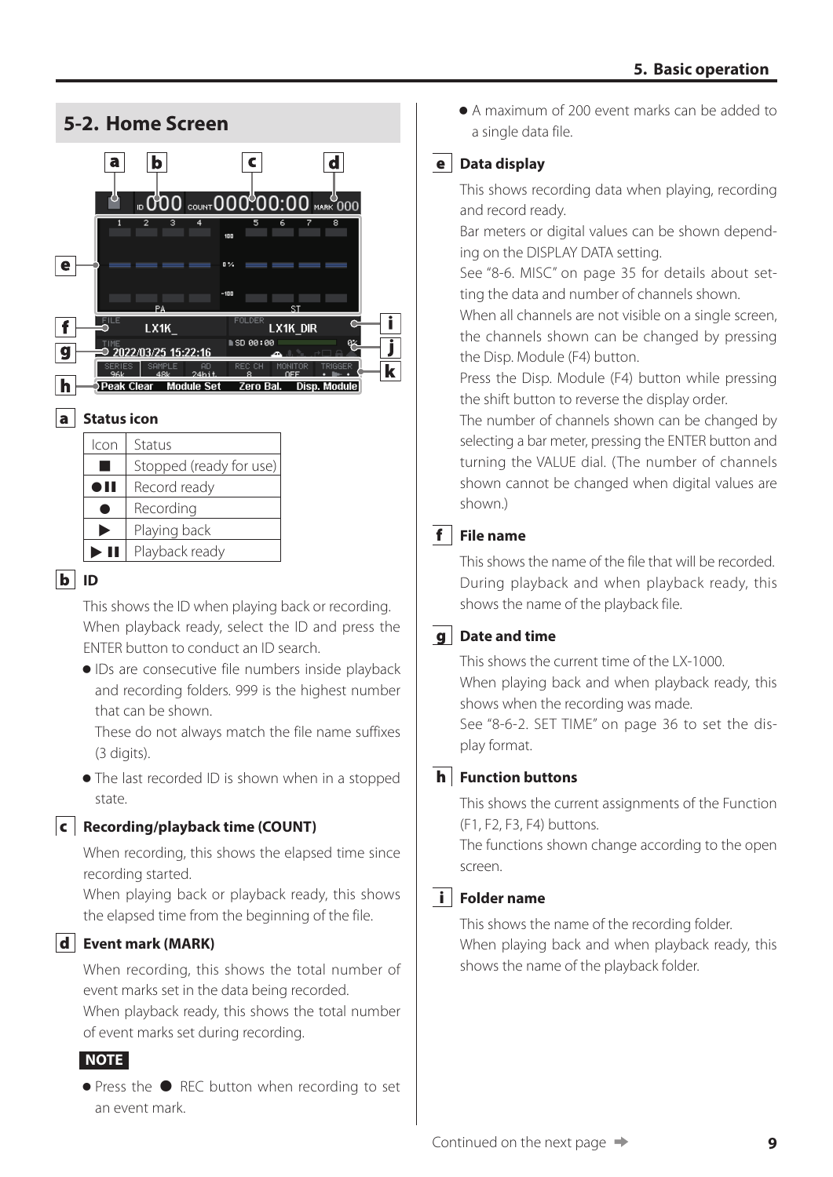<span id="page-8-0"></span>

This shows the ID when playing back or recording. When playback ready, select the ID and press the ENTER button to conduct an ID search.

o IDs are consecutive file numbers inside playback and recording folders. 999 is the highest number that can be shown.

These do not always match the file name suffixes (3 digits).

• The last recorded ID is shown when in a stopped state.

#### c **Recording/playback time (COUNT)**

When recording, this shows the elapsed time since recording started.

When playing back or playback ready, this shows the elapsed time from the beginning of the file.

#### d **Event mark (MARK)**

When recording, this shows the total number of event marks set in the data being recorded. When playback ready, this shows the total number of event marks set during recording.

#### **NOTE**

● Press the ● REC button when recording to set an event mark.

o A maximum of 200 event marks can be added to a single data file.

#### e **Data display**

This shows recording data when playing, recording and record ready.

Bar meters or digital values can be shown depending on the DISPLAY DATA setting.

See ["8-6. MISC" on page 35](#page-34-1) for details about setting the data and number of channels shown.

When all channels are not visible on a single screen, the channels shown can be changed by pressing the Disp. Module (F4) button.

Press the Disp. Module (F4) button while pressing the shift button to reverse the display order.

The number of channels shown can be changed by selecting a bar meter, pressing the ENTER button and turning the VALUE dial. (The number of channels shown cannot be changed when digital values are shown.)

#### f **File name**

This shows the name of the file that will be recorded. During playback and when playback ready, this shows the name of the playback file.

#### g **Date and time**

This shows the current time of the LX-1000. When playing back and when playback ready, this shows when the recording was made.

See ["8-6-2. SET TIME" on page 36](#page-35-1) to set the display format.

#### h **Function buttons**

This shows the current assignments of the Function (F1, F2, F3, F4) buttons.

The functions shown change according to the open screen.

#### i **Folder name**

This shows the name of the recording folder. When playing back and when playback ready, this shows the name of the playback folder.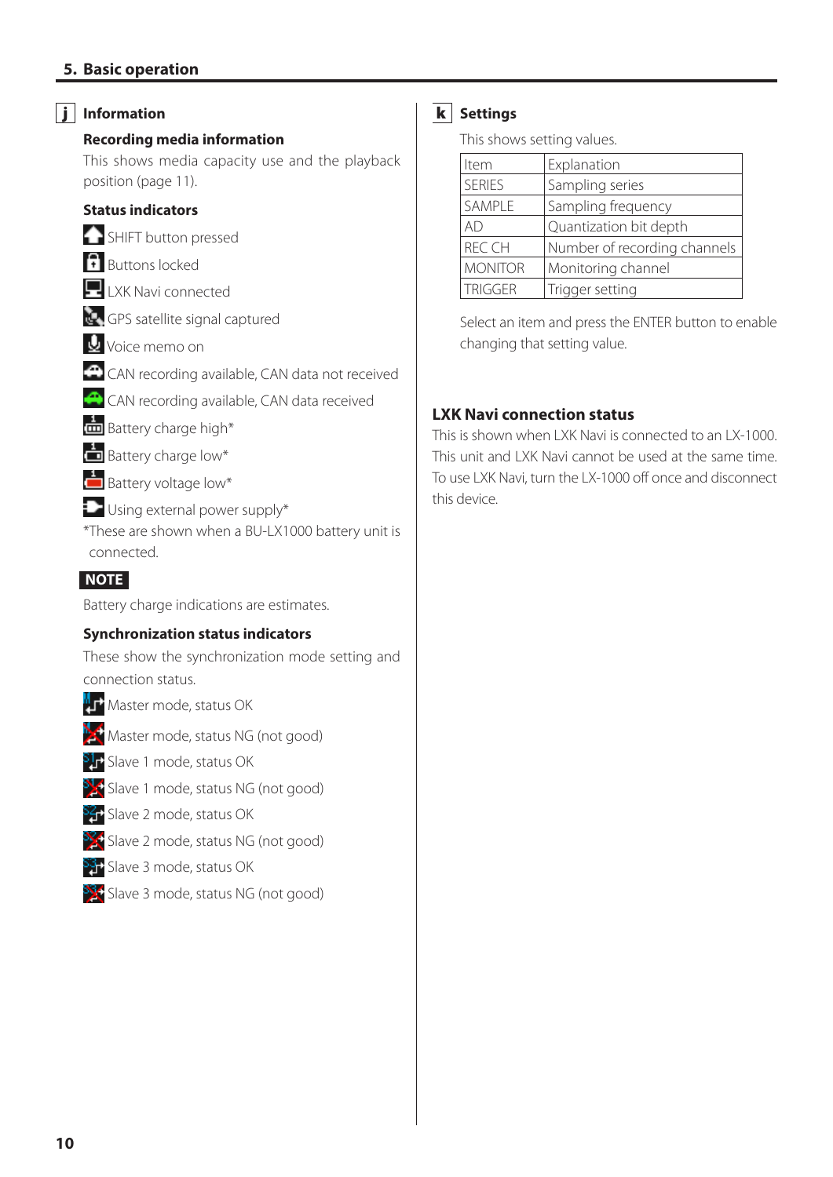#### **5. Basic operation**

#### j **Information**

#### **Recording media information**

This shows media capacity use and the playback position ([page 11](#page-10-1)).

#### **Status indicators**

**SHIFT** button pressed

- **B**uttons locked
- **LXK Navi connected**
- GPS satellite signal captured
- **U** Voice memo on
- CAN recording available, CAN data not received
- CAN recording available, CAN data received
- $\frac{1}{\Box}$  Battery charge high\*
- Battery charge low\*
- **Battery voltage low\***
- **D** Using external power supply\*
- \*These are shown when a BU-LX1000 battery unit is connected.

#### **NOTE**

Battery charge indications are estimates.

#### **Synchronization status indicators**

These show the synchronization mode setting and connection status.

- **MT** Master mode, status OK
- $\mathbb{R}$  Master mode, status NG (not good)
- **S1+** Slave 1 mode, status OK
- S<sub>2</sub>: Slave 1 mode, status NG (not good)
- Ser Slave 2 mode, status OK
- SS: Slave 2 mode, status NG (not good)
- SST Slave 3 mode, status OK
- $\frac{33}{3}$ Slave 3 mode, status NG (not good)

#### k **Settings**

This shows setting values.

| Item           | Explanation                  |
|----------------|------------------------------|
| <b>SERIES</b>  | Sampling series              |
| SAMPLE         | Sampling frequency           |
| AD             | Quantization bit depth       |
| <b>REC CH</b>  | Number of recording channels |
| <b>MONITOR</b> | Monitoring channel           |
| <b>TRIGGER</b> | Trigger setting              |

Select an item and press the ENTER button to enable changing that setting value.

#### **LXK Navi connection status**

This is shown when LXK Navi is connected to an LX-1000. This unit and LXK Navi cannot be used at the same time. To use LXK Navi, turn the LX-1000 off once and disconnect this device.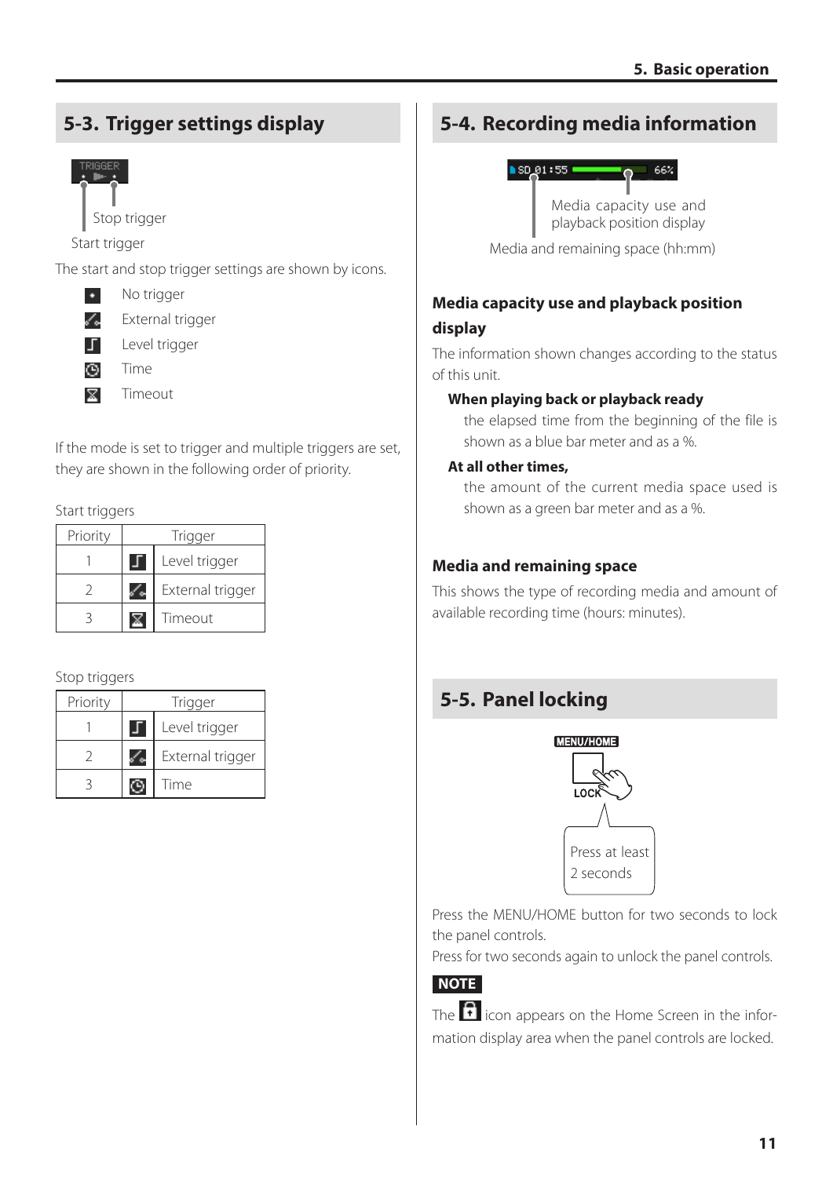# <span id="page-10-0"></span>**5-3. Trigger settings display**



Stop trigger

Start trigger

The start and stop trigger settings are shown by icons.

No trigger ×.

í. External trigger

Level trigger 丁

- O. Time
- **x** Timeout

If the mode is set to trigger and multiple triggers are set, they are shown in the following order of priority.

#### Start triggers

| Priority | Trigger       |                  |  |
|----------|---------------|------------------|--|
|          | Level trigger |                  |  |
|          |               | External trigger |  |
|          |               | Timeout          |  |

#### Stop triggers

| Priority | Trigger |                  |  |
|----------|---------|------------------|--|
|          |         | Level trigger    |  |
|          |         | External trigger |  |
|          |         | Time             |  |

# **5-4. Recording media information**

<span id="page-10-1"></span>

Media capacity use and playback position display

Media and remaining space (hh:mm)

## **Media capacity use and playback position display**

The information shown changes according to the status of this unit.

#### **When playing back or playback ready**

the elapsed time from the beginning of the file is shown as a blue bar meter and as a %.

#### **At all other times,**

the amount of the current media space used is shown as a green bar meter and as a %.

#### **Media and remaining space**

This shows the type of recording media and amount of available recording time (hours: minutes).

# **5-5. Panel locking**



Press the MENU/HOME button for two seconds to lock the panel controls.

Press for two seconds again to unlock the panel controls.

# **NOTE**

The  $\overline{\mathbf{f}}$  icon appears on the Home Screen in the information display area when the panel controls are locked.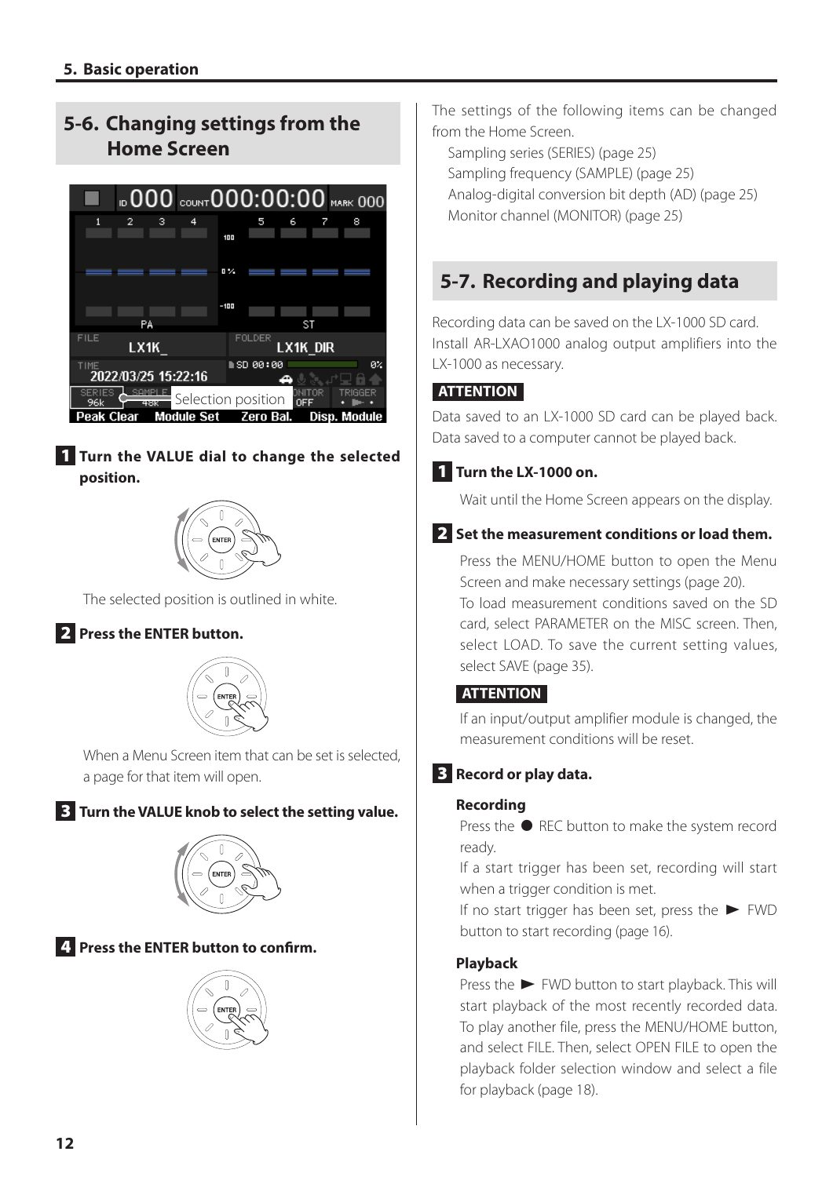# <span id="page-11-0"></span>**5-6. Changing settings from the Home Screen**



#### 1 **Turn the VALUE dial to change the selected position.**



The selected position is outlined in white.

#### 2 **Press the ENTER button.**



When a Menu Screen item that can be set is selected, a page for that item will open.

3 **Turn the VALUE knob to select the setting value.**



4 **Press the ENTER button to confirm.**



The settings of the following items can be changed from the Home Screen.

Sampling series (SERIES) ([page 25](#page-24-1)) Sampling frequency (SAMPLE) ([page 25](#page-24-1)) Analog-digital conversion bit depth (AD) [\(page 25\)](#page-24-1) Monitor channel (MONITOR) ([page 25](#page-24-1))

# **5-7. Recording and playing data**

Recording data can be saved on the LX-1000 SD card. Install AR-LXAO1000 analog output amplifiers into the LX-1000 as necessary.

#### **ATTENTION**

Data saved to an LX-1000 SD card can be played back. Data saved to a computer cannot be played back.

#### 1 **Turn the LX-1000 on.**

Wait until the Home Screen appears on the display.

#### 2 **Set the measurement conditions or load them.**

Press the MENU/HOME button to open the Menu Screen and make necessary settings [\(page 20\)](#page-19-1).

To load measurement conditions saved on the SD card, select PARAMETER on the MISC screen. Then, select LOAD. To save the current setting values, select SAVE ([page 35](#page-34-2)).

#### **ATTENTION**

If an input/output amplifier module is changed, the measurement conditions will be reset.

#### 3 **Record or play data.**

#### **Recording**

Press the  $\bullet$  REC button to make the system record ready.

If a start trigger has been set, recording will start when a trigger condition is met.

If no start trigger has been set, press the  $\blacktriangleright$  FWD button to start recording ([page 16](#page-15-1)).

#### **Playback**

Press the  $\blacktriangleright$  FWD button to start playback. This will start playback of the most recently recorded data. To play another file, press the MENU/HOME button, and select FILE. Then, select OPEN FILE to open the playback folder selection window and select a file for playback [\(page 18\)](#page-17-1).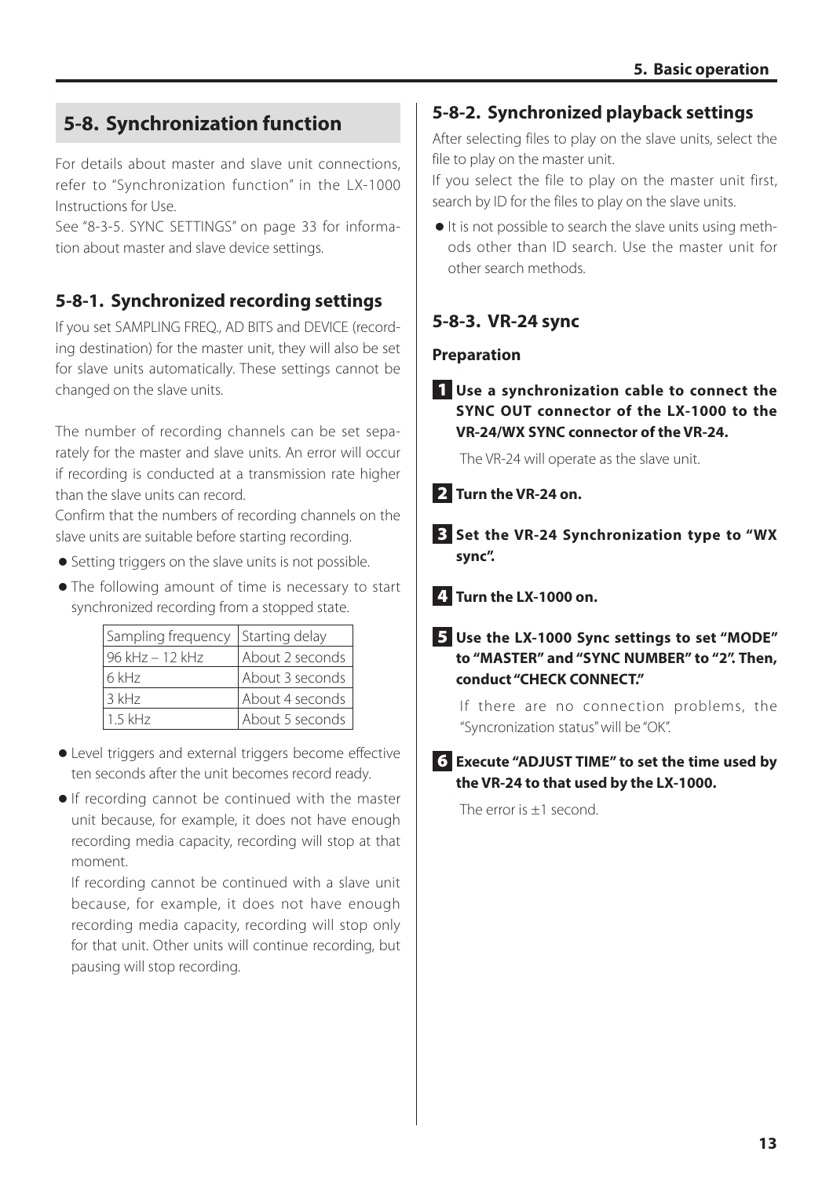# <span id="page-12-1"></span><span id="page-12-0"></span>**5-8. Synchronization function**

For details about master and slave unit connections, refer to "Synchronization function" in the LX-1000 Instructions for Use.

See ["8-3-5. SYNC SETTINGS" on page 33](#page-32-1) for information about master and slave device settings.

# **5-8-1. Synchronized recording settings**

If you set SAMPLING FREQ., AD BITS and DEVICE (recording destination) for the master unit, they will also be set for slave units automatically. These settings cannot be changed on the slave units.

The number of recording channels can be set separately for the master and slave units. An error will occur if recording is conducted at a transmission rate higher than the slave units can record.

Confirm that the numbers of recording channels on the slave units are suitable before starting recording.

- o Setting triggers on the slave units is not possible.
- o The following amount of time is necessary to start synchronized recording from a stopped state.

| Sampling frequency | Starting delay  |
|--------------------|-----------------|
| 96 kHz - 12 kHz    | About 2 seconds |
| 6 kHz              | About 3 seconds |
| $3$ kHz            | About 4 seconds |
| $1.5$ kHz          | About 5 seconds |

- o Level triggers and external triggers become effective ten seconds after the unit becomes record ready.
- o If recording cannot be continued with the master unit because, for example, it does not have enough recording media capacity, recording will stop at that moment.

If recording cannot be continued with a slave unit because, for example, it does not have enough recording media capacity, recording will stop only for that unit. Other units will continue recording, but pausing will stop recording.

## **5-8-2. Synchronized playback settings**

After selecting files to play on the slave units, select the file to play on the master unit.

If you select the file to play on the master unit first, search by ID for the files to play on the slave units.

o It is not possible to search the slave units using methods other than ID search. Use the master unit for other search methods.

## **5-8-3. VR-24 sync**

#### **Preparation**

1 **Use a synchronization cable to connect the SYNC OUT connector of the LX-1000 to the VR-24/WX SYNC connector of the VR-24.**

The VR-24 will operate as the slave unit.

- 2 **Turn the VR-24 on.**
- 3 **Set the VR-24 Synchronization type to "WX sync".**
- 4 **Turn the LX-1000 on.**

#### 5 **Use the LX-1000 Sync settings to set "MODE" to "MASTER" and "SYNC NUMBER" to "2". Then, conduct "CHECK CONNECT."**

If there are no connection problems, the "Syncronization status" will be "OK".

#### 6 **Execute "ADJUST TIME" to set the time used by the VR-24 to that used by the LX-1000.**

The error is +1 second.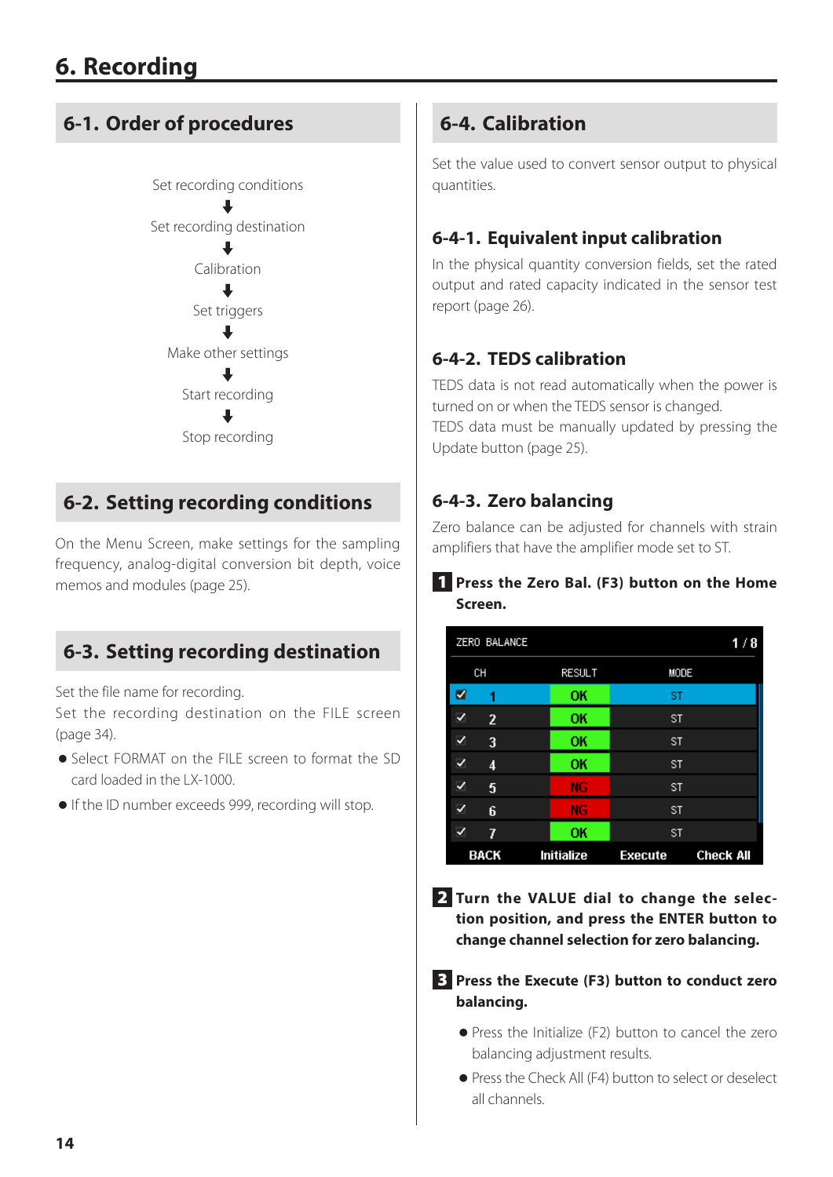# <span id="page-13-0"></span>**6-1. Order of procedures**



# **6-2. Setting recording conditions**

On the Menu Screen, make settings for the sampling frequency, analog-digital conversion bit depth, voice memos and modules [\(page 25\)](#page-24-1).

# **6-3. Setting recording destination**

Set the file name for recording.

Set the recording destination on the FILE screen ([page 34](#page-33-1)).

- o Select FORMAT on the FILE screen to format the SD card loaded in the LX-1000.
- o If the ID number exceeds 999, recording will stop.

# **6-4. Calibration**

Set the value used to convert sensor output to physical quantities.

# **6-4-1. Equivalent input calibration**

In the physical quantity conversion fields, set the rated output and rated capacity indicated in the sensor test report ([page 26](#page-25-1)).

# **6-4-2. TEDS calibration**

TEDS data is not read automatically when the power is turned on or when the TEDS sensor is changed.

TEDS data must be manually updated by pressing the Update button ([page 25](#page-24-2)).

# **6-4-3. Zero balancing**

Zero balance can be adjusted for channels with strain amplifiers that have the amplifier mode set to ST.

#### 1 **Press the Zero Bal. (F3) button on the Home Screen.**

|   | ZERO BALANCE   |               |                | 1/8              |
|---|----------------|---------------|----------------|------------------|
|   | CH             | <b>RESULT</b> | MODE           |                  |
| Z | 1              | ОK            | ST             |                  |
| ✓ | $\overline{2}$ | OK            | <b>ST</b>      |                  |
| √ | 3              | ок            | <b>ST</b>      |                  |
| ✓ | 4              | OK            | <b>ST</b>      |                  |
| ✓ | 5              | NG            | <b>ST</b>      |                  |
| ✓ | 6              | <b>NG</b>     | <b>ST</b>      |                  |
| ✓ | 7              | OK            | <b>ST</b>      |                  |
|   | <b>BACK</b>    | Initialize    | <b>Execute</b> | <b>Check All</b> |

2 **Turn the VALUE dial to change the selection position, and press the ENTER button to change channel selection for zero balancing.**

3 **Press the Execute (F3) button to conduct zero balancing.**

- o Press the Initialize (F2) button to cancel the zero balancing adjustment results.
- o Press the Check All (F4) button to select or deselect all channels.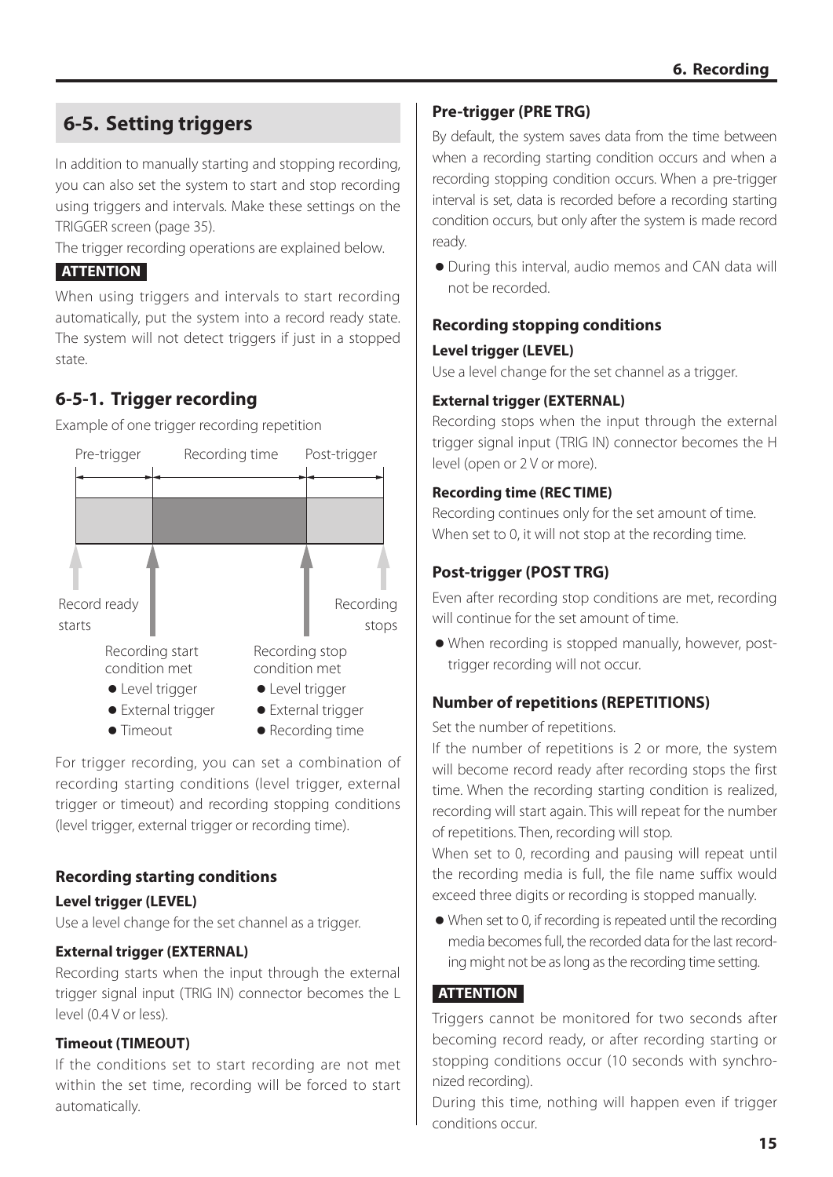# <span id="page-14-1"></span><span id="page-14-0"></span>**6-5. Setting triggers**

In addition to manually starting and stopping recording, you can also set the system to start and stop recording using triggers and intervals. Make these settings on the TRIGGER screen ([page 35](#page-34-3)).

The trigger recording operations are explained below.

#### **ATTENTION**

When using triggers and intervals to start recording automatically, put the system into a record ready state. The system will not detect triggers if just in a stopped state.

# **6-5-1. Trigger recording**

Example of one trigger recording repetition



For trigger recording, you can set a combination of recording starting conditions (level trigger, external trigger or timeout) and recording stopping conditions (level trigger, external trigger or recording time).

#### **Recording starting conditions**

#### **Level trigger (LEVEL)**

Use a level change for the set channel as a trigger.

#### **External trigger (EXTERNAL)**

Recording starts when the input through the external trigger signal input (TRIG IN) connector becomes the L level (0.4 V or less).

#### **Timeout (TIMEOUT)**

If the conditions set to start recording are not met within the set time, recording will be forced to start automatically.

#### **Pre-trigger (PRE TRG)**

By default, the system saves data from the time between when a recording starting condition occurs and when a recording stopping condition occurs. When a pre-trigger interval is set, data is recorded before a recording starting condition occurs, but only after the system is made record ready.

o During this interval, audio memos and CAN data will not be recorded.

#### **Recording stopping conditions**

#### **Level trigger (LEVEL)**

Use a level change for the set channel as a trigger.

#### **External trigger (EXTERNAL)**

Recording stops when the input through the external trigger signal input (TRIG IN) connector becomes the H level (open or 2 V or more).

#### **Recording time (REC TIME)**

Recording continues only for the set amount of time. When set to 0, it will not stop at the recording time.

#### **Post-trigger (POST TRG)**

Even after recording stop conditions are met, recording will continue for the set amount of time.

o When recording is stopped manually, however, posttrigger recording will not occur.

#### **Number of repetitions (REPETITIONS)**

Set the number of repetitions.

If the number of repetitions is 2 or more, the system will become record ready after recording stops the first time. When the recording starting condition is realized, recording will start again. This will repeat for the number of repetitions. Then, recording will stop.

When set to 0, recording and pausing will repeat until the recording media is full, the file name suffix would exceed three digits or recording is stopped manually.

o When set to 0, if recording is repeated until the recording media becomes full, the recorded data for the last recording might not be as long as the recording time setting.

#### **ATTENTION**

Triggers cannot be monitored for two seconds after becoming record ready, or after recording starting or stopping conditions occur (10 seconds with synchronized recording).

During this time, nothing will happen even if trigger conditions occur.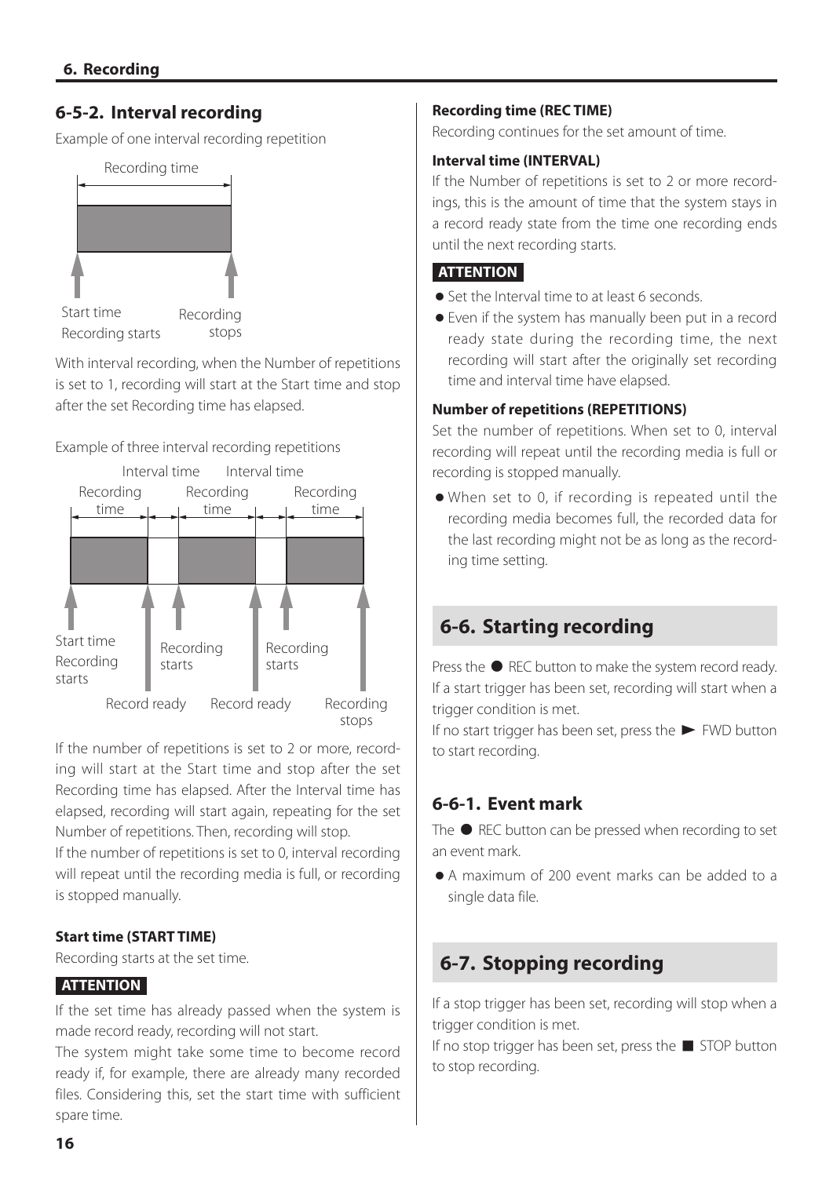# <span id="page-15-0"></span>**6-5-2. Interval recording**

Example of one interval recording repetition



Recording starts stops

With interval recording, when the Number of repetitions is set to 1, recording will start at the Start time and stop after the set Recording time has elapsed.

Example of three interval recording repetitions



If the number of repetitions is set to 2 or more, recording will start at the Start time and stop after the set Recording time has elapsed. After the Interval time has elapsed, recording will start again, repeating for the set Number of repetitions. Then, recording will stop.

If the number of repetitions is set to 0, interval recording will repeat until the recording media is full, or recording is stopped manually.

#### **Start time (START TIME)**

Recording starts at the set time.

#### **ATTENTION**

If the set time has already passed when the system is made record ready, recording will not start.

The system might take some time to become record ready if, for example, there are already many recorded files. Considering this, set the start time with sufficient spare time.

#### **Recording time (REC TIME)**

Recording continues for the set amount of time.

#### **Interval time (INTERVAL)**

If the Number of repetitions is set to 2 or more recordings, this is the amount of time that the system stays in a record ready state from the time one recording ends until the next recording starts.

#### **ATTENTION**

- o Set the Interval time to at least 6 seconds.
- o Even if the system has manually been put in a record ready state during the recording time, the next recording will start after the originally set recording time and interval time have elapsed.

#### **Number of repetitions (REPETITIONS)**

Set the number of repetitions. When set to 0, interval recording will repeat until the recording media is full or recording is stopped manually.

o When set to 0, if recording is repeated until the recording media becomes full, the recorded data for the last recording might not be as long as the recording time setting.

# <span id="page-15-1"></span>**6-6. Starting recording**

Press the  $\bullet$  REC button to make the system record ready. If a start trigger has been set, recording will start when a trigger condition is met.

If no start trigger has been set, press the  $\blacktriangleright$  FWD button to start recording.

# **6-6-1. Event mark**

The  $\bullet$  REC button can be pressed when recording to set an event mark.

o A maximum of 200 event marks can be added to a single data file.

# **6-7. Stopping recording**

If a stop trigger has been set, recording will stop when a trigger condition is met.

If no stop trigger has been set, press the  $\blacksquare$  STOP button to stop recording.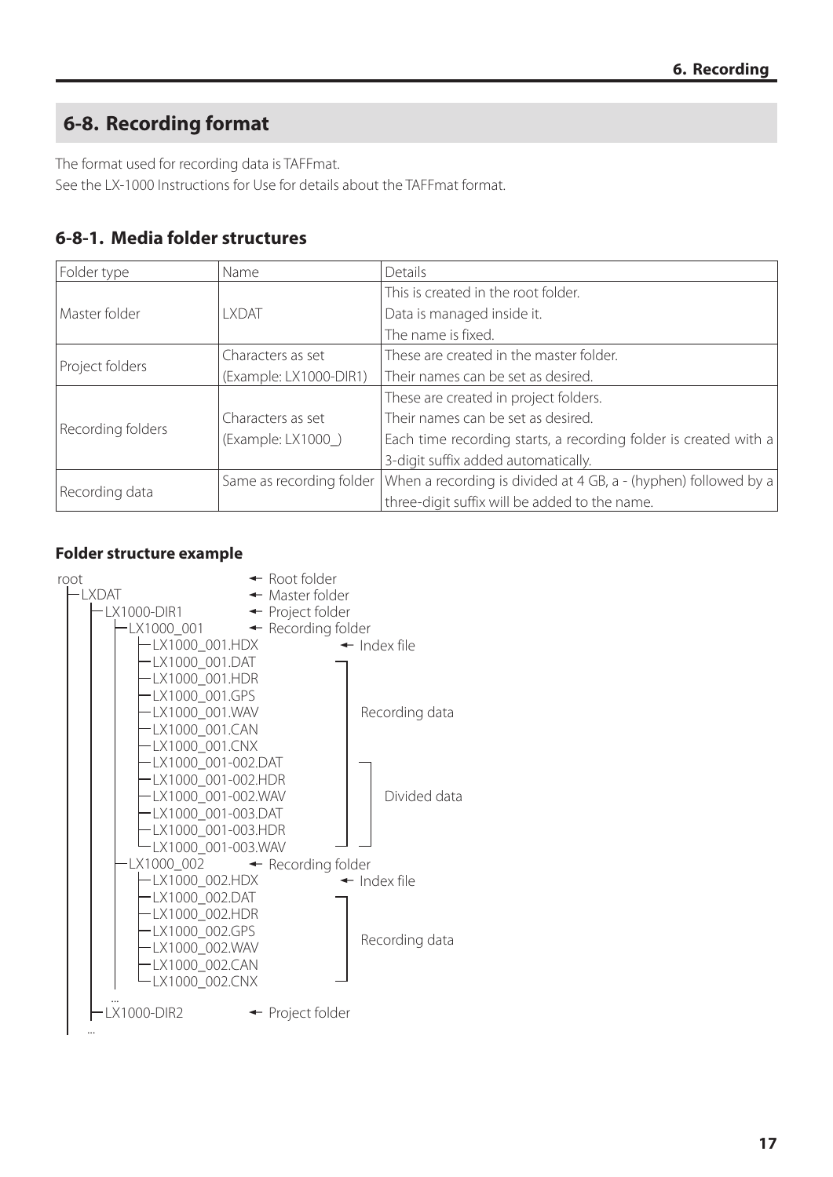# <span id="page-16-0"></span>**6-8. Recording format**

The format used for recording data is TAFFmat. See the LX-1000 Instructions for Use for details about the TAFFmat format.

# **6-8-1. Media folder structures**

| Folder type       | Name                     | Details                                                          |  |
|-------------------|--------------------------|------------------------------------------------------------------|--|
|                   |                          | This is created in the root folder.                              |  |
| Master folder     | I XDAT                   | Data is managed inside it.                                       |  |
|                   |                          | The name is fixed.                                               |  |
|                   | Characters as set        | These are created in the master folder.                          |  |
| Project folders   | (Example: LX1000-DIR1)   | Their names can be set as desired.                               |  |
|                   |                          | These are created in project folders.                            |  |
| Recording folders | Characters as set        | Their names can be set as desired.                               |  |
|                   | (Example: LX1000)        | Each time recording starts, a recording folder is created with a |  |
|                   |                          | 3-digit suffix added automatically.                              |  |
|                   | Same as recording folder | When a recording is divided at 4 GB, a - (hyphen) followed by a  |  |
| Recording data    |                          | three-digit suffix will be added to the name.                    |  |

#### **Folder structure example**

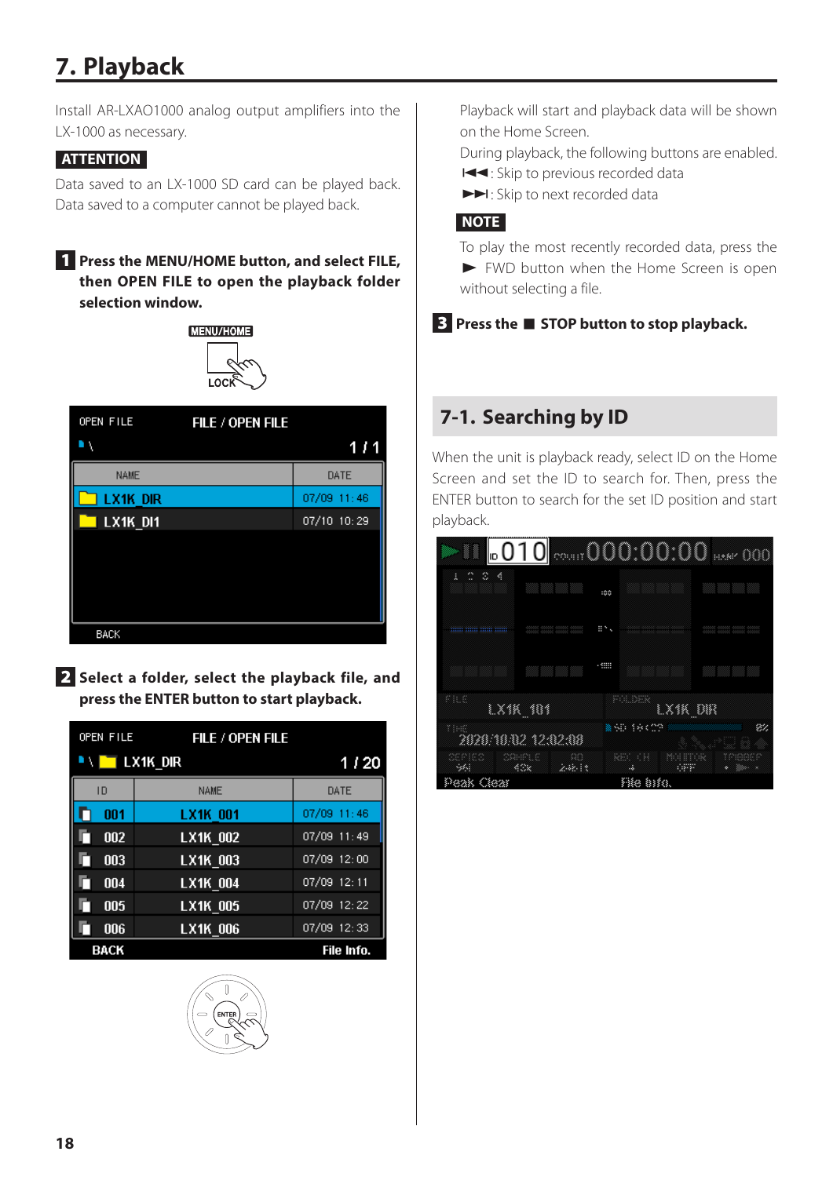# <span id="page-17-1"></span><span id="page-17-0"></span>**7. Playback**

Install AR-LXAO1000 analog output amplifiers into the LX-1000 as necessary.

#### **ATTENTION**

Data saved to an LX-1000 SD card can be played back. Data saved to a computer cannot be played back.

#### 1 **Press the MENU/HOME button, and select FILE, then OPEN FILE to open the playback folder selection window.**



| OPEN FILE   | FILE / OPEN FILE |               |
|-------------|------------------|---------------|
| ١           |                  | J.<br>1<br>-1 |
| <b>NAME</b> |                  | DATE          |
| LX1K DIR    |                  | 07/09 11:46   |
| LX1K DI1    |                  | 07/10 10:29   |
|             |                  |               |
|             |                  |               |
|             |                  |               |
|             |                  |               |
| <b>BACK</b> |                  |               |

2 **Select a folder, select the playback file, and press the ENTER button to start playback.**

| OPEN FILE   | FILE / OPEN FILE |               |
|-------------|------------------|---------------|
|             | LX1K DIR         | 1/20          |
| ID          | <b>NAME</b>      | DATE          |
| 001         | LX1K 001         | 07/09 11:46   |
| 002         | LX1K 002         | 07/09 11:49   |
| 003         | LX1K 003         | $07/09$ 12:00 |
| 004         | LX1K 004         | 07/09 12:11   |
| 005         | LX1K 005         | 07/09 12:22   |
| 006         | <b>LX1K 006</b>  | 07/09 12:33   |
| <b>BACK</b> |                  | File Info.    |



Playback will start and playback data will be shown on the Home Screen.

During playback, the following buttons are enabled.

.: Skip to previous recorded data

 $\blacktriangleright$ : Skip to next recorded data

#### **NOTE**

To play the most recently recorded data, press the 7 FWD button when the Home Screen is open without selecting a file.

#### 3 **Press the** 8 **STOP button to stop playback.**

# **7-1. Searching by ID**

When the unit is playback ready, select ID on the Home Screen and set the ID to search for. Then, press the ENTER button to search for the set ID position and start playback.

| ⊩01Օ                                                  | 000:00:00<br>888        |    |
|-------------------------------------------------------|-------------------------|----|
| Ą<br>٥<br>ø<br>ā                                      | :00                     |    |
| <u>mm mm mm mm</u><br>,,,,,,,,,,,,,,,,,,,,,,,,,,,,,,, | 日本人                     |    |
|                                                       | <b>SING</b>             |    |
| nic                                                   | politik                 |    |
| LXIK 181                                              | LX1K DIR                |    |
| 33.357<br>2020/10/02 12:02:08                         | SO.<br>18409            | 82 |
| œ<br>SAMPLE<br>aeried<br>43x<br>2.48.13<br>- 354      | xa i<br>133<br>688<br>4 |    |
| Ciear                                                 | File Bife.              |    |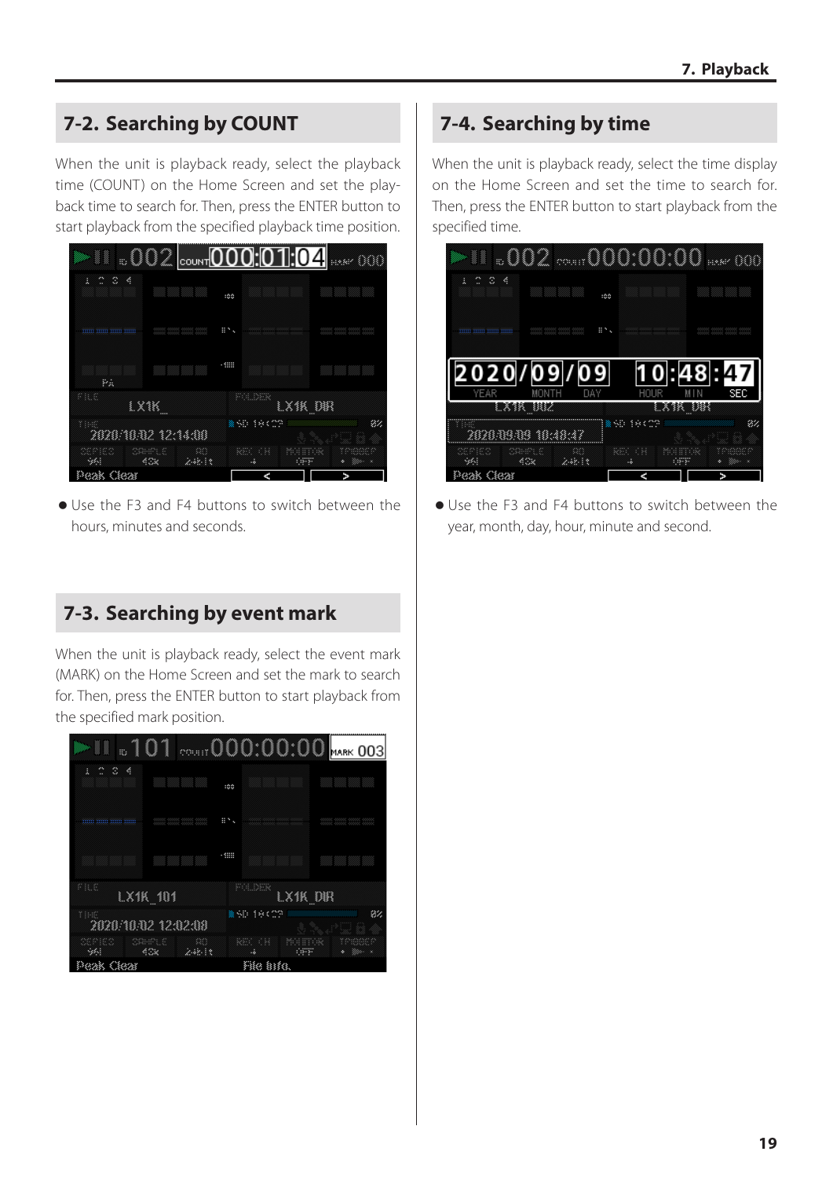# <span id="page-18-0"></span>**7-2. Searching by COUNT**

When the unit is playback ready, select the playback time (COUNT) on the Home Screen and set the playback time to search for. Then, press the ENTER button to start playback from the specified playback time position.



o Use the F3 and F4 buttons to switch between the hours, minutes and seconds.

# **7-3. Searching by event mark**

When the unit is playback ready, select the event mark (MARK) on the Home Screen and set the mark to search for. Then, press the ENTER button to start playback from the specified mark position.

| anna an<br>1                        | 01<br>♦<br>ş      | ł<br>1<br>0<br>ś |                 |
|-------------------------------------|-------------------|------------------|-----------------|
| L<br>聡                              |                   | Ø                | <b>MARK 003</b> |
| K<br>٧                              |                   |                  |                 |
|                                     | :00               |                  |                 |
|                                     | ⊞N                |                  |                 |
| <u>11111 111111 111111 111111</u>   |                   |                  |                 |
|                                     | $\cdot$           |                  |                 |
|                                     |                   |                  |                 |
| na                                  | PGDER             |                  |                 |
| $L\times 1K$ 101                    |                   | LX1K_DIR         |                 |
| 33,900<br>×<br>2020/10/02 12:02:08  | 激う印<br>強く         | œ                | 84              |
| 88<br>SAMR S<br>œ<br>432<br>2.48.13 | RS 0<br>63<br>us. | 688              |                 |
| Peak Cleas                          | Fike info.        |                  |                 |

# **7-4. Searching by time**

When the unit is playback ready, select the time display on the Home Screen and set the time to search for. Then, press the ENTER button to start playback from the specified time.



o Use the F3 and F4 buttons to switch between the year, month, day, hour, minute and second.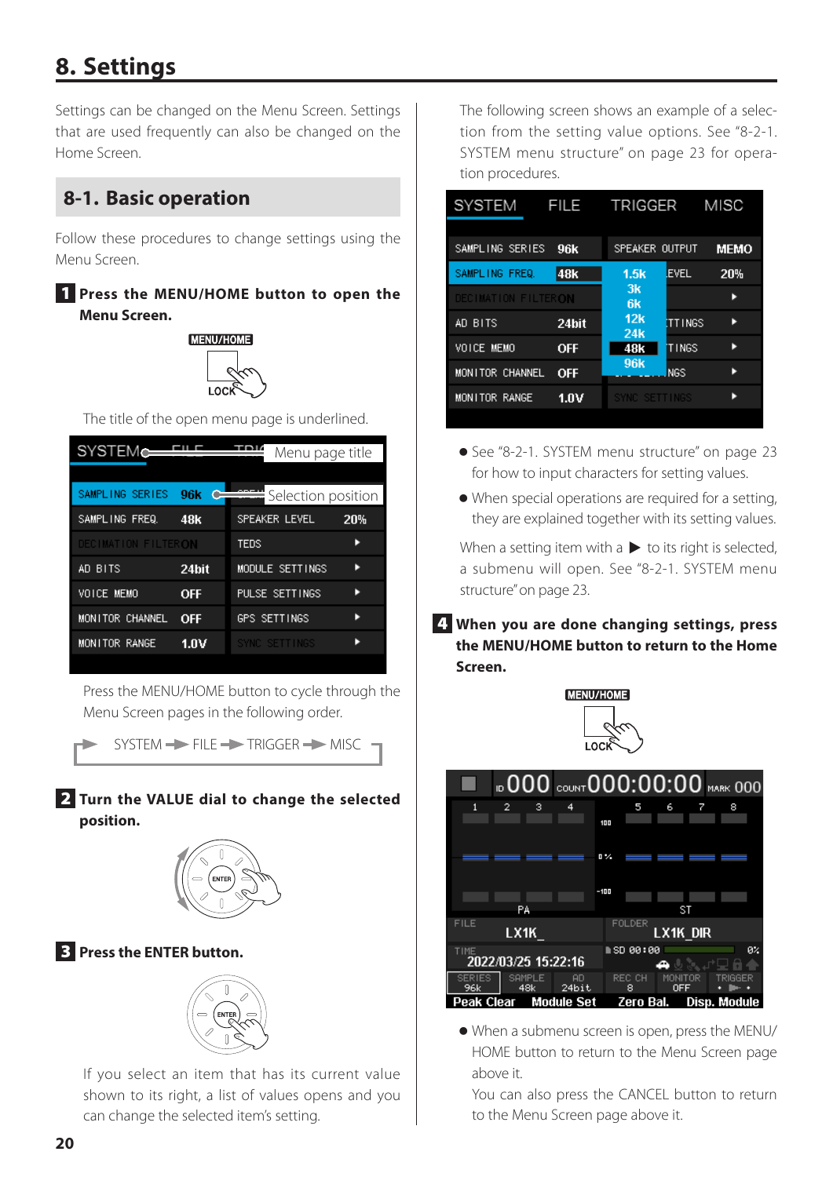# <span id="page-19-1"></span><span id="page-19-0"></span>**8. Settings**

Settings can be changed on the Menu Screen. Settings that are used frequently can also be changed on the Home Screen.

# **8-1. Basic operation**

Follow these procedures to change settings using the Menu Screen.

#### 1 **Press the MENU/HOME button to open the Menu Screen.**



The title of the open menu page is underlined.

|                     | Menu page title    |     |
|---------------------|--------------------|-----|
|                     |                    |     |
| 96k                 | Selection position |     |
| 48k                 | SPEAKER LEVEL      | 20% |
| DECIMATION FILTERON | TEDS               |     |
| 24bit               | MODULE SETTINGS    |     |
| <b>OFF</b>          | PULSE SETTINGS     |     |
| <b>OFF</b>          | GPS SETTINGS       |     |
| 1.OV                | SYNC SETTINGS      |     |
|                     |                    |     |

Press the MENU/HOME button to cycle through the Menu Screen pages in the following order.

 $SYSTEM \rightarrow FILE \rightarrow TRIGGER \rightarrow MISC$ 

#### 2 **Turn the VALUE dial to change the selected position.**



#### 3 **Press the ENTER button.**



If you select an item that has its current value shown to its right, a list of values opens and you can change the selected item's setting.

The following screen shows an example of a selection from the setting value options. See ["8-2-1.](#page-22-1)  [SYSTEM menu structure" on page 23](#page-22-1) for operation procedures.

| SYSTEM              | FILE            | TRIGGER                |                | <b>MISC</b> |
|---------------------|-----------------|------------------------|----------------|-------------|
| SAMPLING SERIES     | 96k             | SPEAKER OUTPUT         |                | <b>MEMO</b> |
| SAMPLING FREQ.      | 48 <sub>k</sub> | 1.5k                   | <b>EVEL</b>    | 20%         |
| DECIMATION FILTERON |                 | 3k<br>6k               |                |             |
| AD BITS             | 24bit           | 12k<br>24 <sub>k</sub> | <b>ITTINGS</b> |             |
| VOICE MEMO          | <b>OFF</b>      | 48k                    | TINGS          |             |
| MONITOR CHANNEL     | <b>OFF</b>      | 96 <sub>k</sub>        | <b>NGS</b>     |             |
| MONITOR RANGE       | 1.0V            | SYNC SETTINGS          |                |             |
|                     |                 |                        |                |             |

- o See ["8-2-1. SYSTEM menu structure" on page 23](#page-22-1) for how to input characters for setting values.
- o When special operations are required for a setting, they are explained together with its setting values.

When a setting item with  $a \triangleright$  to its right is selected, a submenu will open. See ["8-2-1. SYSTEM menu](#page-22-1)  [structure" on page 23.](#page-22-1)

4 **When you are done changing settings, press the MENU/HOME button to return to the Home Screen.**

MENU/HOME



o When a submenu screen is open, press the MENU/ HOME button to return to the Menu Screen page above it.

You can also press the CANCEL button to return to the Menu Screen page above it.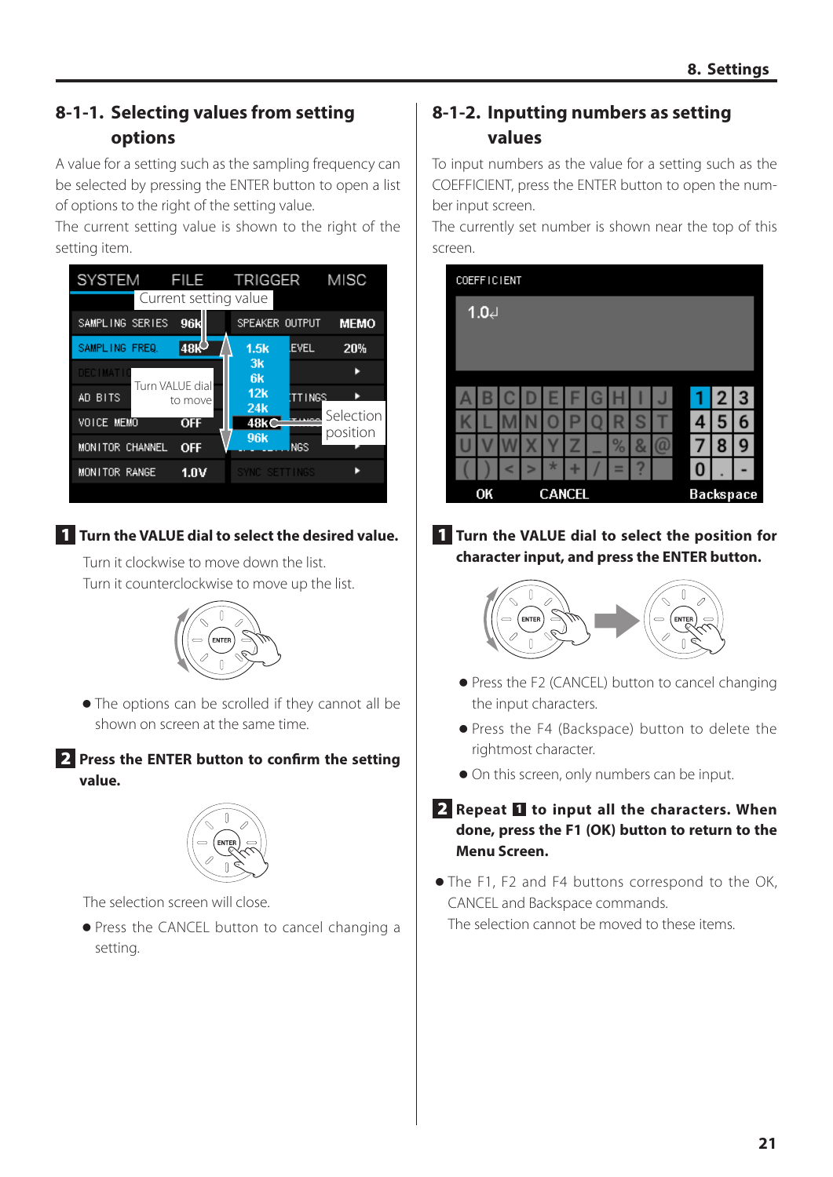# <span id="page-20-0"></span>**8-1-1. Selecting values from setting options**

A value for a setting such as the sampling frequency can be selected by pressing the ENTER button to open a list of options to the right of the setting value.

The current setting value is shown to the right of the setting item.

| <b>SYSTEM</b>     | <b>FILE</b>                | TRIGGER                |                | MISC                  |
|-------------------|----------------------------|------------------------|----------------|-----------------------|
|                   | Current setting value      |                        |                |                       |
| SAMPLING SERIES   | 96k                        | SPEAKER OUTPUT         |                | <b>MEMO</b>           |
| SAMPLING FREQ.    | 48K                        | 1.5k                   | <b>EVEL</b>    | 20%                   |
| <b>DECIMATI</b>   |                            | 3k<br>6k               |                |                       |
| AD BITS           | Turn VALUE dial<br>to move | 12k<br>24 <sub>k</sub> | <b>ITTINGS</b> |                       |
| <b>VOICE MEMO</b> | <b>OFF</b>                 | 48kC                   |                | Selection<br>position |
| MONITOR CHANNEL   | <b>OFF</b>                 | 96 <sub>k</sub>        | <b>NGS</b>     |                       |
| MONITOR RANGE     | 1.0V                       | SYNC SETTINGS          |                |                       |
|                   |                            |                        |                |                       |

1 **Turn the VALUE dial to select the desired value.**

Turn it clockwise to move down the list. Turn it counterclockwise to move up the list.



o The options can be scrolled if they cannot all be shown on screen at the same time.

#### 2 **Press the ENTER button to confirm the setting value.**



The selection screen will close.

o Press the CANCEL button to cancel changing a setting.

# **8-1-2. Inputting numbers as setting values**

To input numbers as the value for a setting such as the COEFFICIENT, press the ENTER button to open the number input screen.

The currently set number is shown near the top of this screen.

| <b>COEFFICIENT</b> |   |  |               |   |   |        |        |   |   |   |                  |
|--------------------|---|--|---------------|---|---|--------|--------|---|---|---|------------------|
| 1.04               |   |  |               |   |   |        |        |   |   |   |                  |
|                    |   |  |               |   |   |        |        |   |   |   |                  |
|                    |   |  |               |   |   |        |        |   |   |   |                  |
|                    |   |  | Ε             |   | G |        |        | J | 1 | 2 | 3                |
|                    |   |  |               |   |   |        | S      |   | 4 | 5 | 6                |
|                    |   |  |               | Z |   | %      | 8      | a |   | 8 | 9                |
|                    | c |  | $\ast$        | ٠ |   | -<br>= | 7<br>٠ |   | 0 |   |                  |
| OK                 |   |  | <b>CANCEL</b> |   |   |        |        |   |   |   | <b>Backspace</b> |

1 **Turn the VALUE dial to select the position for character input, and press the ENTER button.**



- o Press the F2 (CANCEL) button to cancel changing the input characters.
- o Press the F4 (Backspace) button to delete the rightmost character.
- $\bullet$  On this screen, only numbers can be input.

#### **2** Repeat **1** to input all the characters. When **done, press the F1 (OK) button to return to the Menu Screen.**

o The F1, F2 and F4 buttons correspond to the OK, CANCEL and Backspace commands. The selection cannot be moved to these items.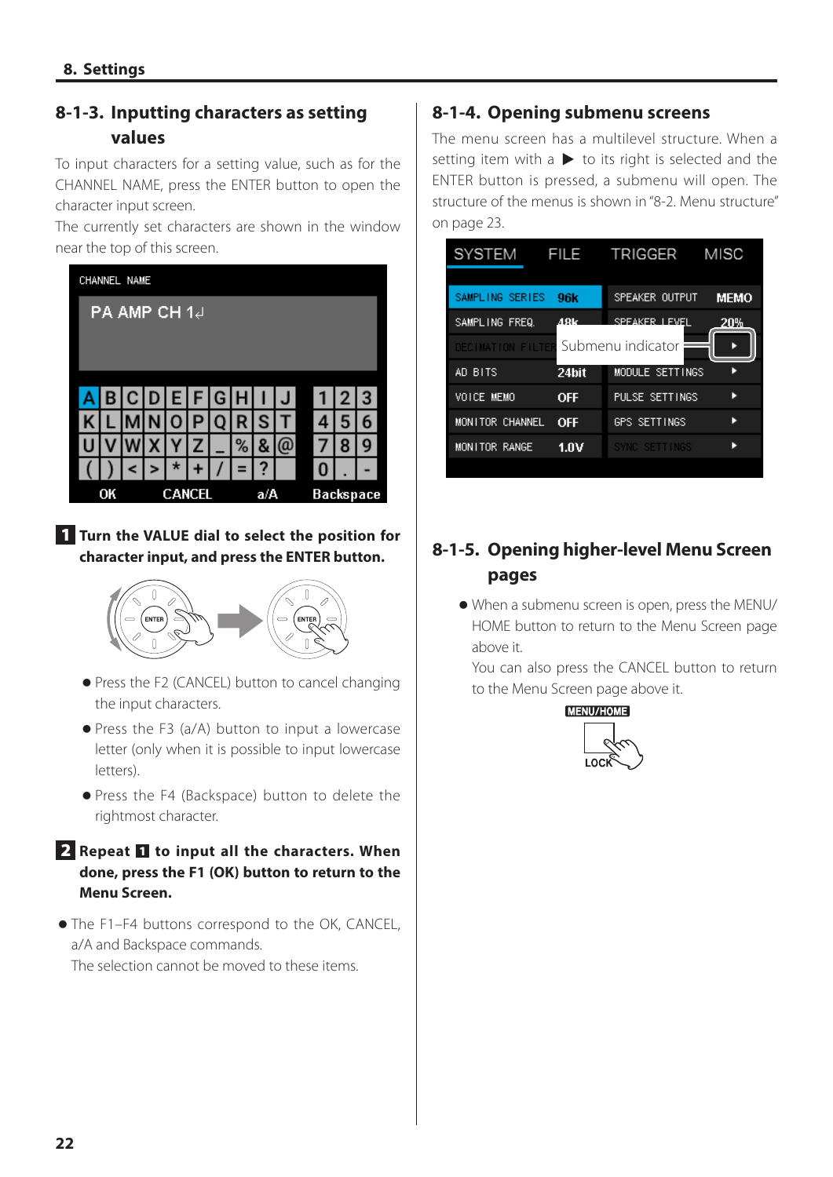# <span id="page-21-0"></span>**8-1-3. Inputting characters as setting values**

To input characters for a setting value, such as for the CHANNEL NAME, press the ENTER button to open the character input screen.

The currently set characters are shown in the window near the top of this screen.



1 **Turn the VALUE dial to select the position for character input, and press the ENTER button.**



- o Press the F2 (CANCEL) button to cancel changing the input characters.
- o Press the F3 (a/A) button to input a lowercase letter (only when it is possible to input lowercase letters).
- o Press the F4 (Backspace) button to delete the rightmost character.

#### **2** Repeat **1** to input all the characters. When **done, press the F1 (OK) button to return to the Menu Screen.**

o The F1–F4 buttons correspond to the OK, CANCEL, a/A and Backspace commands. The selection cannot be moved to these items.

#### **8-1-4. Opening submenu screens**

The menu screen has a multilevel structure. When a setting item with a  $\blacktriangleright$  to its right is selected and the ENTER button is pressed, a submenu will open. The structure of the menus is shown in ["8-2. Menu structure"](#page-22-2)  [on page 23.](#page-22-2)



# **8-1-5. Opening higher-level Menu Screen pages**

o When a submenu screen is open, press the MENU/ HOME button to return to the Menu Screen page above it.

You can also press the CANCEL button to return to the Menu Screen page above it.

# **MENU/HOME**

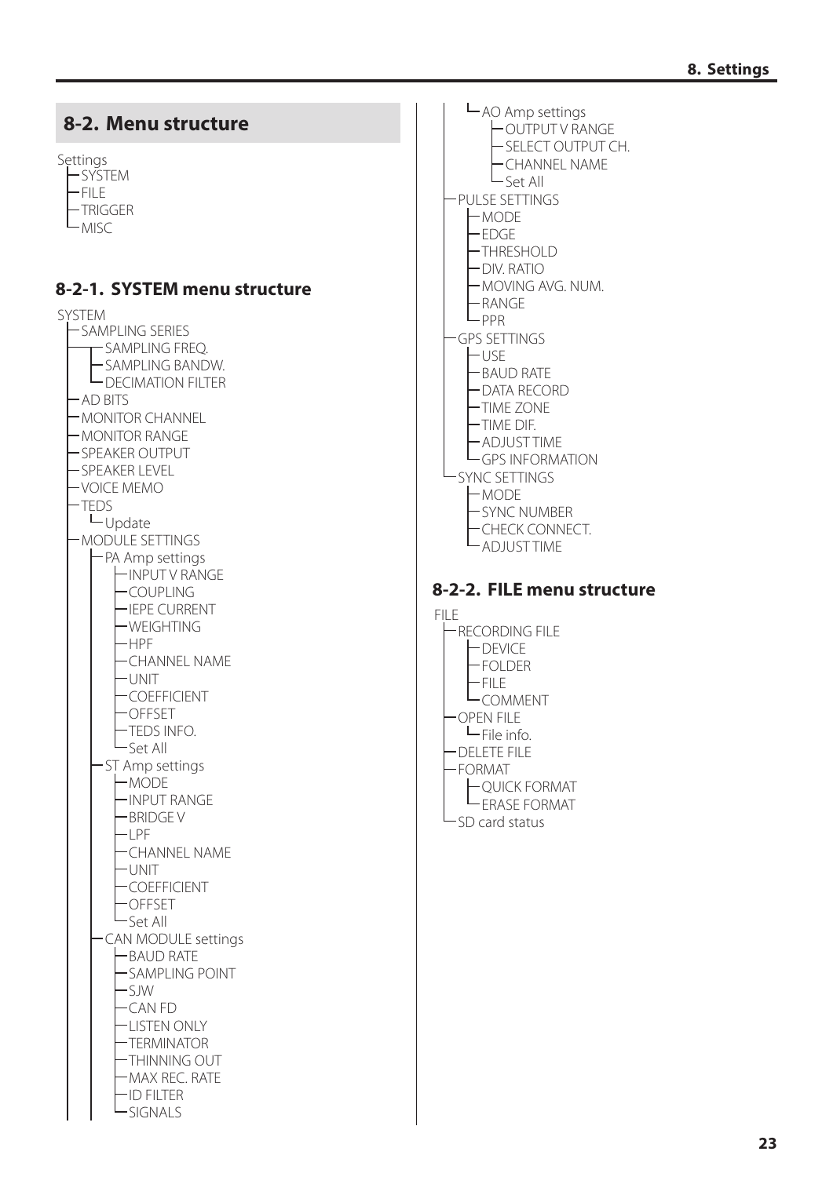<span id="page-22-2"></span><span id="page-22-1"></span><span id="page-22-0"></span>

- AO Amp settings OUTPUT V RANGE -SELECT OUTPUT CH. CHANNEL NAME  $\mathsf{L}_{\mathsf{Set}}$  All PULSE SETTINGS MODE EDGE THRESHOLD DIV. RATIO MOVING AVG. NUM. RANGE  $L_{PPR}$ GPS SETTINGS  $\vdash$ USE BAUD RATE DATA RECORD TIME ZONE TIME DIF. ADJUST TIME GPS INFORMATION SYNC SETTINGS MODE SYNC NUMBER CHECK CONNECT. ADJUST TIME **8-2-2. FILE menu structure**
- FILE RECORDING FILE DEVICE FOLDER FILE **L**COMMENT OPEN FILE  $-$ File info. DELETE FILE FORMAT QUICK FORMAT ERASE FORMAT SD card status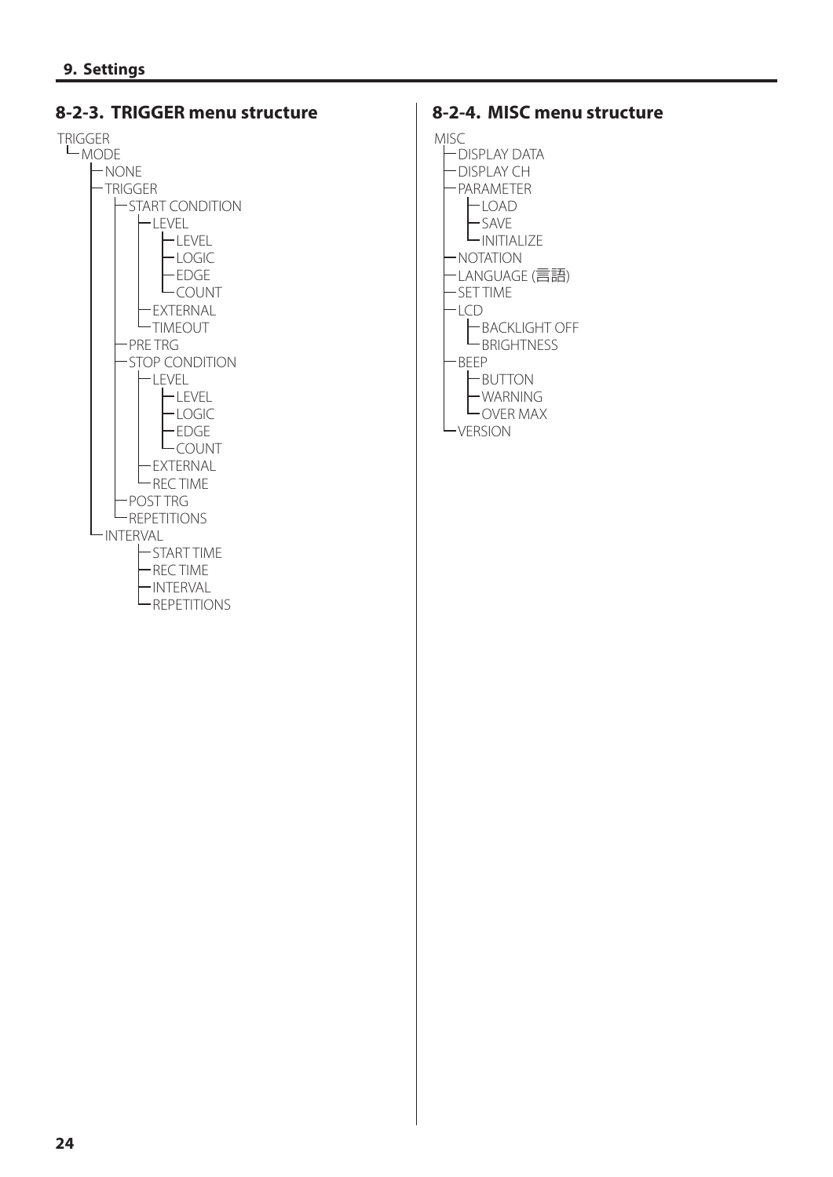<span id="page-23-0"></span>

#### **8-2-4. MISC menu structure**

MISC

DISPLAY DATA DISPLAY CH PARAMETER **LOAD**<br>LSAVE SAVE INITIALIZE NOTATION LANGUAGE (言語) SET TIME LCD BACKLIGHT OFF **L**BRIGHTNESS BEEP **H**BUTTON WARNING OVER MAX **L**<sub>VERSION</sub>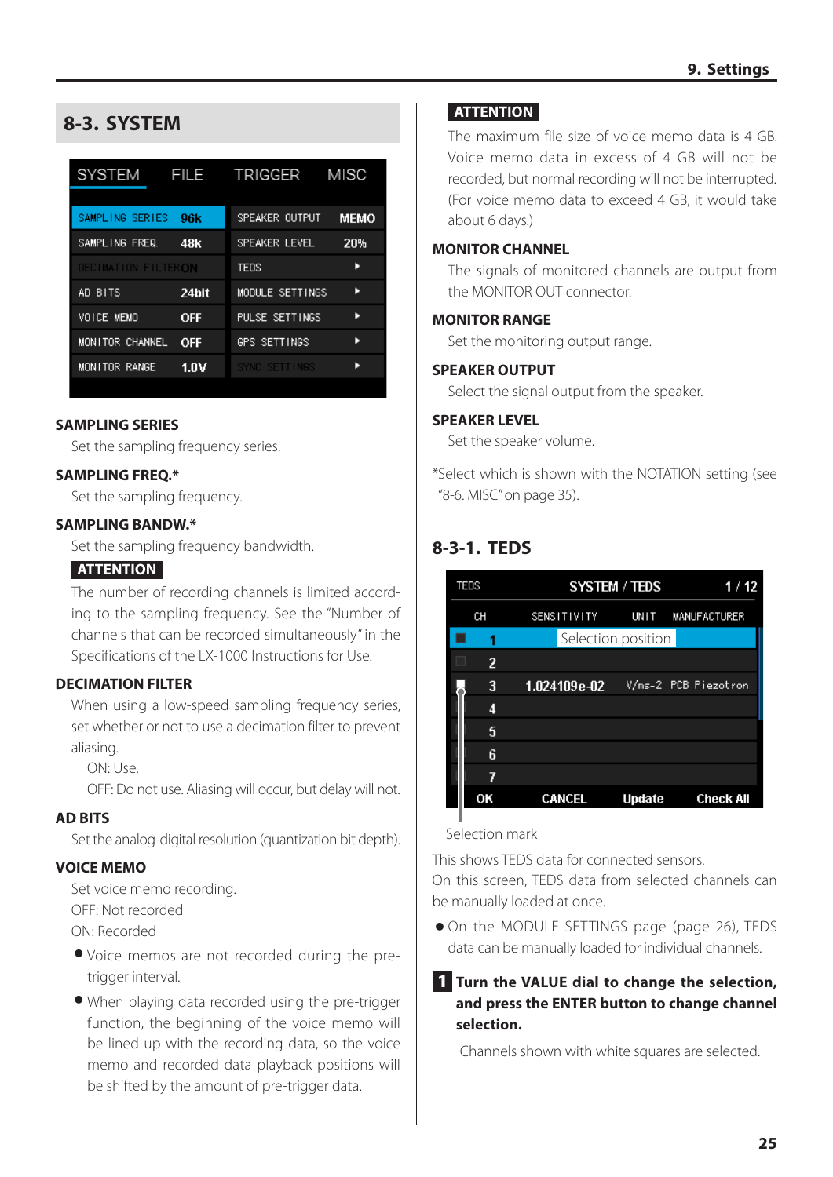# <span id="page-24-1"></span><span id="page-24-0"></span>**8-3. SYSTEM**

| <b>SYSTEM</b>       | <b>FILE</b> | TRIGGER         | MISC        |
|---------------------|-------------|-----------------|-------------|
| SAMPLING SERIES     | 96k         | SPEAKER OUTPUT  | <b>MEMO</b> |
| SAMPLING FREQ.      | 48k         | SPEAKER LEVEL   | 20%         |
| DECIMATION FILTERON |             | TEDS            | ь           |
| AD BITS             | 24bit       | MODULE SETTINGS | ь           |
| VOICE MEMO          | <b>OFF</b>  | PULSE SETTINGS  |             |
| MONITOR CHANNEL     | OFF         | GPS SETTINGS    |             |
| MONITOR RANGE       | 1.OV        | SYNC SETTINGS   |             |

#### **SAMPLING SERIES**

Set the sampling frequency series.

#### **SAMPLING FREQ.\***

Set the sampling frequency.

#### **SAMPLING BANDW.\***

Set the sampling frequency bandwidth.

#### **ATTENTION**

The number of recording channels is limited according to the sampling frequency. See the "Number of channels that can be recorded simultaneously" in the Specifications of the LX-1000 Instructions for Use.

#### **DECIMATION FILTER**

When using a low-speed sampling frequency series, set whether or not to use a decimation filter to prevent aliasing.

ON: Use.

OFF: Do not use. Aliasing will occur, but delay will not.

#### **AD BITS**

Set the analog-digital resolution (quantization bit depth).

#### **VOICE MEMO**

Set voice memo recording. OFF: Not recorded ON: Recorded

- o Voice memos are not recorded during the pretrigger interval.
- o When playing data recorded using the pre-trigger function, the beginning of the voice memo will be lined up with the recording data, so the voice memo and recorded data playback positions will be shifted by the amount of pre-trigger data.

#### **ATTENTION**

The maximum file size of voice memo data is 4 GB. Voice memo data in excess of 4 GB will not be recorded, but normal recording will not be interrupted. (For voice memo data to exceed 4 GB, it would take about 6 days.)

#### **MONITOR CHANNEL**

The signals of monitored channels are output from the MONITOR OUT connector.

#### **MONITOR RANGE**

Set the monitoring output range.

#### **SPEAKER OUTPUT**

Select the signal output from the speaker.

#### **SPEAKER LEVEL**

Set the speaker volume.

\*Select which is shown with the NOTATION setting (see ["8-6. MISC" on page 35](#page-34-1)).

## **8-3-1. TEDS**

<span id="page-24-2"></span>

| <b>TEDS</b> |  | 1/12                          |                                                                |
|-------------|--|-------------------------------|----------------------------------------------------------------|
| <b>CH</b>   |  |                               | <b>MANUFACTURER</b>                                            |
| 1           |  |                               |                                                                |
| 2           |  |                               |                                                                |
| 3           |  |                               | V/ms-2 PCB Piezotron                                           |
| 4           |  |                               |                                                                |
| 5           |  |                               |                                                                |
| 6           |  |                               |                                                                |
| 7           |  |                               |                                                                |
| OK          |  | <b>Update</b>                 | <b>Check All</b>                                               |
|             |  | 1.024109e-02<br><b>CANCEL</b> | <b>SYSTEM / TEDS</b><br>SENSITIVITY UNIT<br>Selection position |

#### Selection mark

This shows TEDS data for connected sensors.

On this screen, TEDS data from selected channels can be manually loaded at once.

o On the MODULE SETTINGS page ([page 26](#page-25-1)), TEDS data can be manually loaded for individual channels.

#### **1** Turn the VALUE dial to change the selection, **and press the ENTER button to change channel selection.**

Channels shown with white squares are selected.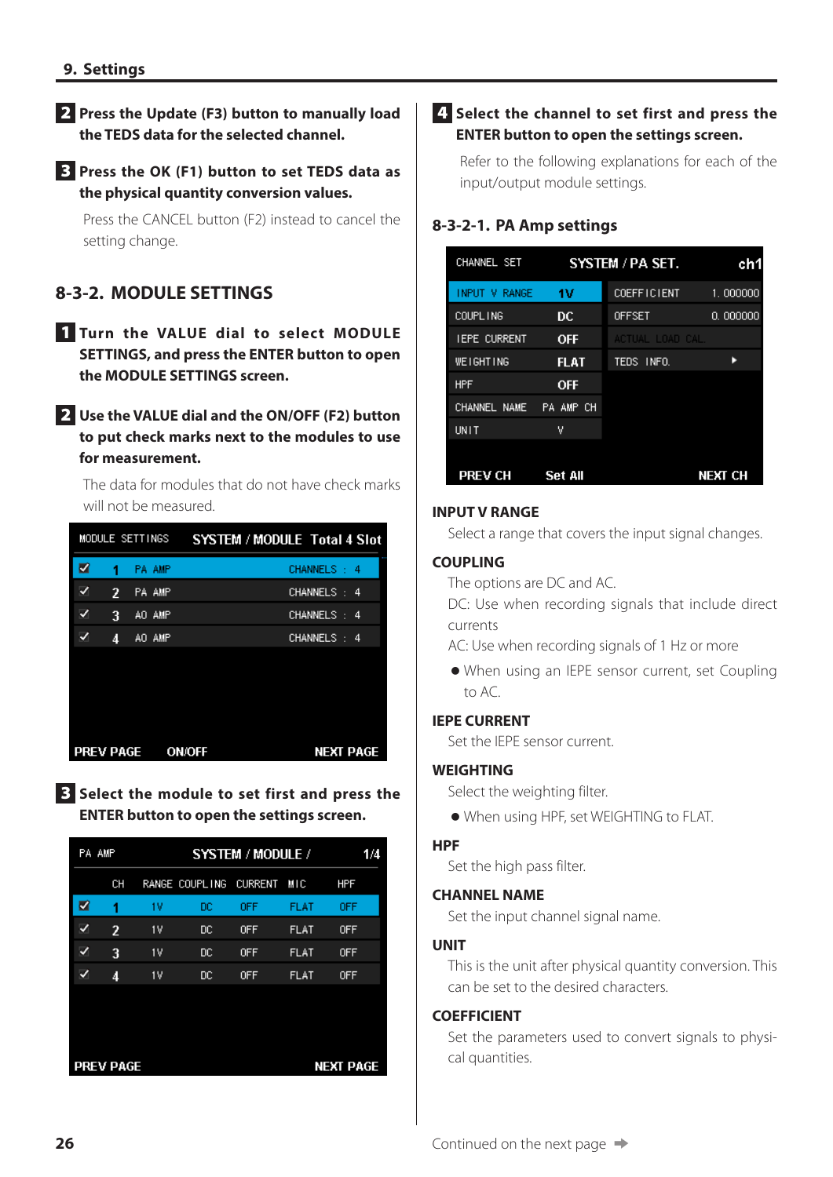#### <span id="page-25-0"></span>2 **Press the Update (F3) button to manually load the TEDS data for the selected channel.**

#### 3 **Press the OK (F1) button to set TEDS data as the physical quantity conversion values.**

<span id="page-25-1"></span>Press the CANCEL button (F2) instead to cancel the setting change.

# **8-3-2. MODULE SETTINGS**

1 **Turn the VALUE dial to select MODULE SETTINGS, and press the ENTER button to open the MODULE SETTINGS screen.**

#### 2 **Use the VALUE dial and the ON/OFF (F2) button to put check marks next to the modules to use for measurement.**

The data for modules that do not have check marks will not be measured.

|                  |   | MODULE SETTINGS | <b>SYSTEM / MODULE Total 4 Slot</b> |
|------------------|---|-----------------|-------------------------------------|
| ☑                | 1 | <b>PA AMP</b>   | CHANNELS: 4                         |
|                  | 2 | PA AMP          | CHANNELS: 4                         |
|                  | 3 | AO AMP          | CHANNELS:<br>-4                     |
|                  | 4 | AO AMP          | CHANNELS: 4                         |
|                  |   |                 |                                     |
|                  |   |                 |                                     |
|                  |   |                 |                                     |
|                  |   |                 |                                     |
| <b>PREV PAGE</b> |   |                 | <b>ON/OFF</b><br><b>NEXT PAGE</b>   |

3 **Select the module to set first and press the ENTER button to open the settings screen.**

|                                      | PA AMP | SYSTEM / MODULE /<br>1/4 |                |                |             |            |  |
|--------------------------------------|--------|--------------------------|----------------|----------------|-------------|------------|--|
|                                      | СH     |                          | RANGE COUPLING | <b>CURRENT</b> | MIC         | <b>HPF</b> |  |
| ☑                                    | 1      | 1V                       | DC             | <b>OFF</b>     | FLAT        | <b>OFF</b> |  |
| ✓                                    | 2      | 1V                       | DC             | <b>OFF</b>     | <b>FLAT</b> | <b>OFF</b> |  |
| ✓                                    | 3      | 1V                       | DC             | <b>OFF</b>     | <b>FLAT</b> | <b>OFF</b> |  |
| ✓                                    | 4      | 1V                       | DC             | <b>OFF</b>     | <b>FLAT</b> | 0FF        |  |
|                                      |        |                          |                |                |             |            |  |
|                                      |        |                          |                |                |             |            |  |
|                                      |        |                          |                |                |             |            |  |
| <b>PREV PAGE</b><br><b>NEXT PAGE</b> |        |                          |                |                |             |            |  |

#### 4 **Select the channel to set first and press the ENTER button to open the settings screen.**

Refer to the following explanations for each of the input/output module settings.

# **8-3-2-1. PA Amp settings**

| CHANNEL SET         |                | SYSTEM / PA SET.   | ch1            |
|---------------------|----------------|--------------------|----------------|
| INPUT V RANGE       | 1V             | <b>COEFFICIENT</b> | 1.000000       |
| COUPL ING           | DC             | <b>OFFSET</b>      | 0.000000       |
| <b>IEPE CURRENT</b> | <b>OFF</b>     | ACTUAL LOAD CAL.   |                |
| <b>WEIGHTING</b>    | <b>FLAT</b>    | TEDS:<br>INFO.     |                |
| <b>HPF</b>          | <b>OFF</b>     |                    |                |
| CHANNEL NAME        | PA AMP CH      |                    |                |
| UNIT                | ٧              |                    |                |
| <b>PREV CH</b>      | <b>Set All</b> |                    | <b>NEXT CH</b> |

#### **INPUT V RANGE**

Select a range that covers the input signal changes.

#### **COUPLING**

The options are DC and AC.

DC: Use when recording signals that include direct currents

AC: Use when recording signals of 1 Hz or more

o When using an IEPE sensor current, set Coupling to AC.

#### **IEPE CURRENT**

Set the IEPE sensor current.

#### **WEIGHTING**

Select the weighting filter.

o When using HPF, set WEIGHTING to FLAT.

#### **HPF**

Set the high pass filter.

#### **CHANNEL NAME**

Set the input channel signal name.

#### **UNIT**

This is the unit after physical quantity conversion. This can be set to the desired characters.

#### **COEFFICIENT**

Set the parameters used to convert signals to physical quantities.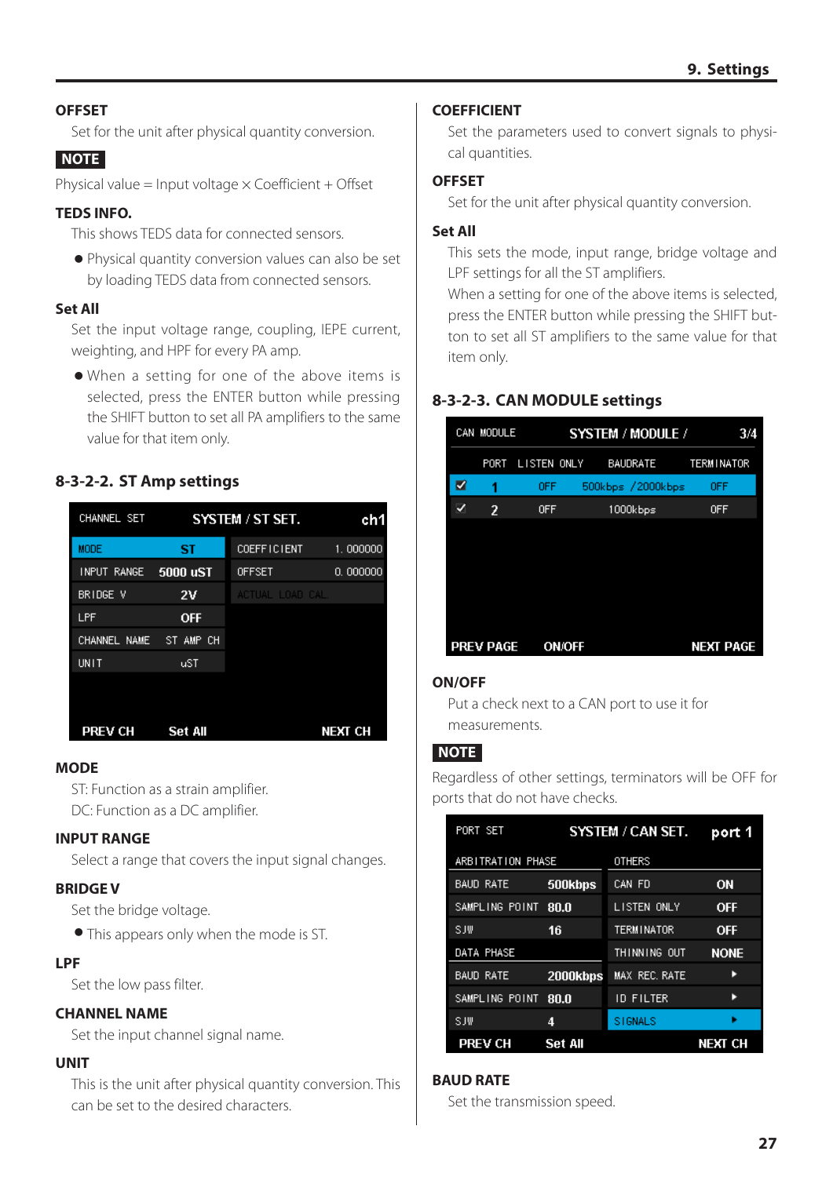#### **OFFSET**

Set for the unit after physical quantity conversion.

#### **NOTE**

Physical value = Input voltage  $\times$  Coefficient + Offset

#### **TEDS INFO.**

This shows TEDS data for connected sensors.

o Physical quantity conversion values can also be set by loading TEDS data from connected sensors.

#### **Set All**

Set the input voltage range, coupling, IEPE current, weighting, and HPF for every PA amp.

o When a setting for one of the above items is selected, press the ENTER button while pressing the SHIFT button to set all PA amplifiers to the same value for that item only.

#### **8-3-2-2. ST Amp settings**

| CHANNEL SET  | SYSTEM / ST SET. | ch1                |          |
|--------------|------------------|--------------------|----------|
| <b>MODE</b>  | ST               | <b>COEFFICIENT</b> | 1.000000 |
| INPUT RANGE  | 5000 uST         | <b>OFFSET</b>      | 0.000000 |
| BRIDGE V     | 2V               | ACTUAL LOAD CAL.   |          |
| LPF          | <b>OFF</b>       |                    |          |
| CHANNEL NAME | ST AMP CH        |                    |          |
| UNIT         | uST              |                    |          |
| PREV CH      | <b>Set All</b>   |                    | next ch  |

#### **MODE**

ST: Function as a strain amplifier. DC: Function as a DC amplifier.

#### **INPUT RANGE**

Select a range that covers the input signal changes.

#### **BRIDGE V**

Set the bridge voltage.

o This appears only when the mode is ST.

#### **LPF**

Set the low pass filter.

#### **CHANNEL NAME**

Set the input channel signal name.

#### **UNIT**

This is the unit after physical quantity conversion. This can be set to the desired characters.

#### **COEFFICIENT**

Set the parameters used to convert signals to physical quantities.

#### **OFFSET**

Set for the unit after physical quantity conversion.

#### **Set All**

This sets the mode, input range, bridge voltage and LPF settings for all the ST amplifiers.

When a setting for one of the above items is selected, press the ENTER button while pressing the SHIFT button to set all ST amplifiers to the same value for that item only.

## **8-3-2-3. CAN MODULE settings**

|   | CAN MODULE       |                  | SYSTEM / MODULE /  | 3/4        |
|---|------------------|------------------|--------------------|------------|
|   |                  | PORT LISTEN ONLY | BAUDRATE           | TERMINATOR |
| ☑ | 1                | 0FF              | 500kbps / 2000kbps | <b>OFF</b> |
|   | $\overline{2}$   | <b>OFF</b>       | 1000kbps           | <b>OFF</b> |
|   |                  |                  |                    |            |
|   |                  |                  |                    |            |
|   |                  |                  |                    |            |
|   |                  |                  |                    |            |
|   |                  |                  |                    |            |
|   | <b>PREV PAGE</b> | <b>ON/OFF</b>    |                    | NEXT PAGE  |

#### **ON/OFF**

Put a check next to a CAN port to use it for measurements.

#### **NOTE**

Regardless of other settings, terminators will be OFF for ports that do not have checks.

| PORT SET          | SYSTEM / CAN SET. |                   |             |  |
|-------------------|-------------------|-------------------|-------------|--|
| ARBITRATION PHASE |                   | <b>OTHERS</b>     |             |  |
| BAUD RATE         | 500kbps           | CAN FD            | ΟN          |  |
| SAMPLING POINT    | 80.0              | LISTEN ONLY       | <b>OFF</b>  |  |
| SJW               | 16                | <b>TERMINATOR</b> | <b>OFF</b>  |  |
| DATA PHASE        |                   | THINNING OUT      | <b>NONE</b> |  |
| <b>BAUD RATE</b>  | 2000kbps          | MAX REC. RATE     | в           |  |
| SAMPLING POINT    | 80.0              | ID FILTER         | в           |  |
| SJW               | 4                 | <b>STGNALS</b>    |             |  |
| <b>PREV CH</b>    | <b>Set All</b>    |                   | next ch     |  |

#### **BAUD RATE**

Set the transmission speed.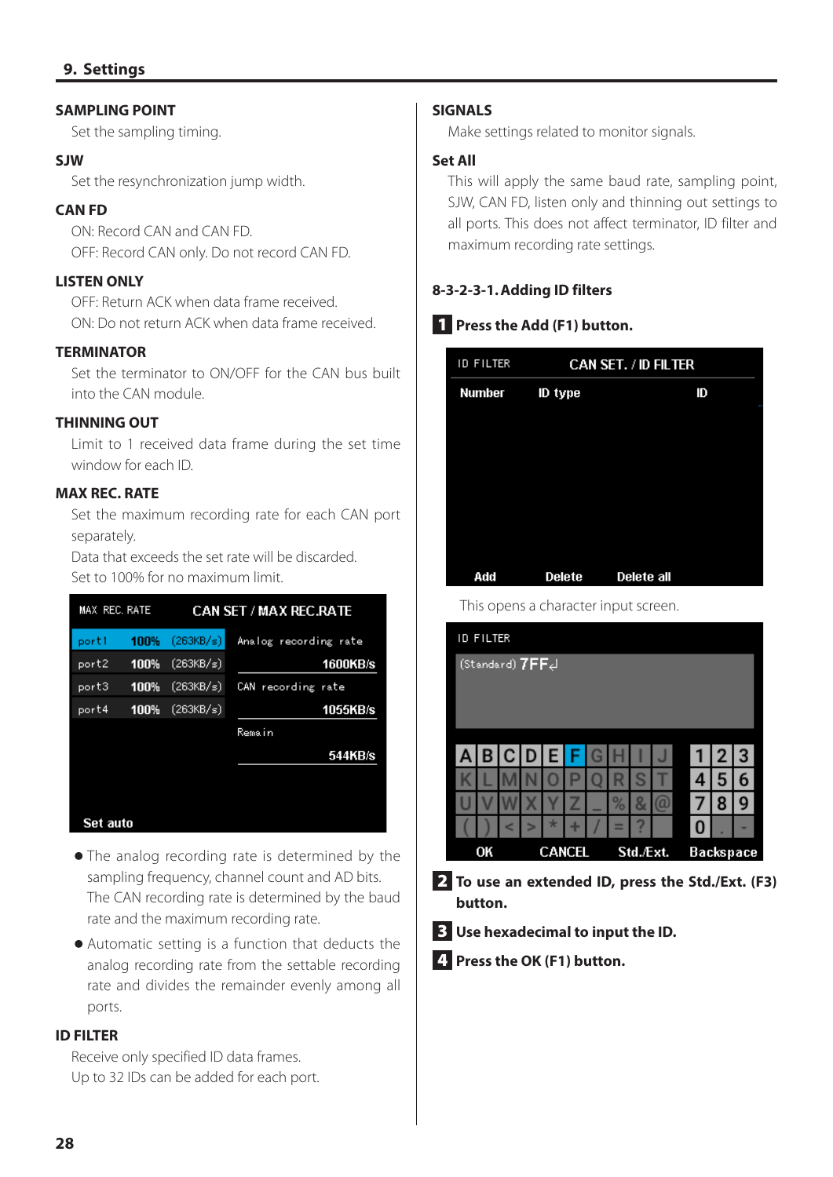#### **SAMPLING POINT**

Set the sampling timing.

#### **SJW**

Set the resynchronization jump width.

#### **CAN FD**

ON: Record CAN and CAN FD. OFF: Record CAN only. Do not record CAN FD.

#### **LISTEN ONLY**

OFF: Return ACK when data frame received. ON: Do not return ACK when data frame received.

#### **TERMINATOR**

Set the terminator to ON/OFF for the CAN bus built into the CAN module.

#### **THINNING OUT**

Limit to 1 received data frame during the set time window for each ID.

#### **MAX REC. RATE**

Set the maximum recording rate for each CAN port separately.

Data that exceeds the set rate will be discarded. Set to 100% for no maximum limit.

| MAX REC. RATE |      |           | <b>CAN SET / MAX REC.RATE</b> |
|---------------|------|-----------|-------------------------------|
| port1         | 100% | (263KB/s) | Analog recording rate         |
| port2         | 100% | (263KB/s) | <b>1600KB/s</b>               |
| port3         | 100% | (263KB/s) | recording rate<br>CAN         |
| port4         | 100% | (263KB/s) | 1055KB/s                      |
|               |      |           | Remain                        |
|               |      |           | 544KB/s                       |
|               |      |           |                               |
|               |      |           |                               |
| Set auto      |      |           |                               |

- o The analog recording rate is determined by the sampling frequency, channel count and AD bits. The CAN recording rate is determined by the baud rate and the maximum recording rate.
- o Automatic setting is a function that deducts the analog recording rate from the settable recording rate and divides the remainder evenly among all ports.

#### **ID FILTER**

Receive only specified ID data frames. Up to 32 IDs can be added for each port.

#### **SIGNALS**

Make settings related to monitor signals.

#### **Set All**

This will apply the same baud rate, sampling point, SJW, CAN FD, listen only and thinning out settings to all ports. This does not affect terminator, ID filter and maximum recording rate settings.

#### **8-3-2-3-1.Adding ID filters**

#### 1 **Press the Add (F1) button.**

| <b>ID FILTER</b> | <b>CAN SET. / ID FILTER</b> |            |  |
|------------------|-----------------------------|------------|--|
| Number           | ID type                     | ID         |  |
|                  |                             |            |  |
|                  |                             |            |  |
|                  |                             |            |  |
|                  |                             |            |  |
|                  |                             |            |  |
| Add              | <b>Delete</b>               | Delete all |  |

This opens a character input screen.

|   | <b>ID FILTER</b> |                 |   |               |   |   |      |           |          |   |                  |   |
|---|------------------|-----------------|---|---------------|---|---|------|-----------|----------|---|------------------|---|
|   |                  | (Standard) 7FFe |   |               |   |   |      |           |          |   |                  |   |
|   |                  |                 |   |               |   |   |      |           |          |   |                  |   |
|   |                  |                 |   |               |   |   |      |           |          |   |                  |   |
|   |                  |                 |   |               |   |   |      |           |          |   |                  |   |
| A |                  | B C D E F       |   |               |   | G |      |           | J        | 1 | 2 3              |   |
|   |                  |                 |   |               |   |   |      | S         |          | 4 | 5                | 6 |
|   |                  |                 |   |               |   |   | $\%$ | 8         | <b>a</b> | 7 | 8                | 9 |
|   |                  | ⋖               | > | ×             | ٠ |   | ≡    | 7         |          | 0 |                  | - |
|   | OK               |                 |   | <b>CANCEL</b> |   |   |      | Std./Ext. |          |   | <b>Backspace</b> |   |
|   |                  |                 |   |               |   |   |      |           |          |   |                  |   |

2 **To use an extended ID, press the Std./Ext. (F3) button.**

3 **Use hexadecimal to input the ID.**

4 **Press the OK (F1) button.**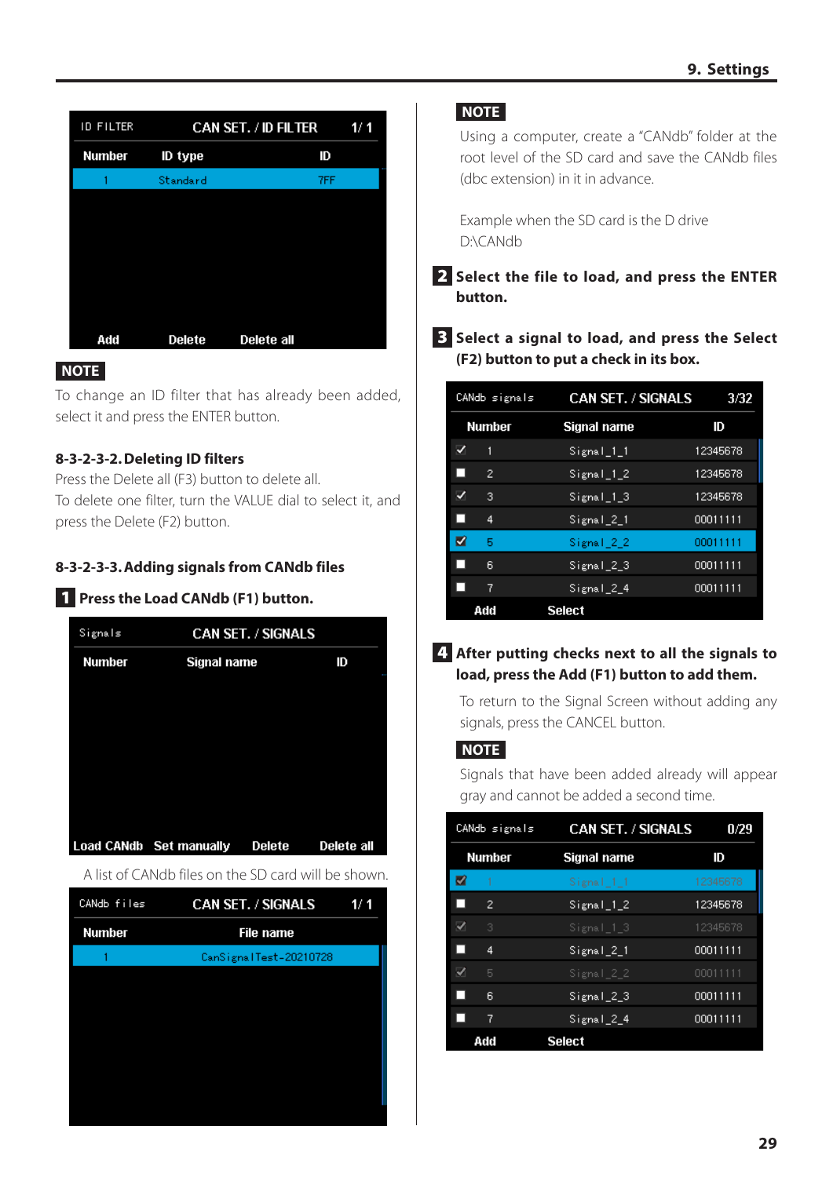| <b>ID FILTER</b> | <b>CAN SET. / ID FILTER</b><br>1/1 |            |  |
|------------------|------------------------------------|------------|--|
| <b>Number</b>    | ID type                            | ID         |  |
|                  | Standard                           | 7FF        |  |
|                  |                                    |            |  |
|                  |                                    |            |  |
|                  |                                    |            |  |
|                  |                                    |            |  |
|                  |                                    |            |  |
| Add              | <b>Delete</b>                      | Delete all |  |

#### **NOTE**

To change an ID filter that has already been added, select it and press the ENTER button.

#### **8-3-2-3-2.Deleting ID filters**

Press the Delete all (F3) button to delete all. To delete one filter, turn the VALUE dial to select it, and press the Delete (F2) button.

#### **8-3-2-3-3.Adding signals from CANdb files**

# 1 **Press the Load CANdb (F1) button.**

| Signals       |                         | <b>CAN SET. / SIGNALS</b> |            |  |
|---------------|-------------------------|---------------------------|------------|--|
| <b>Number</b> | Signal name             |                           | ID         |  |
|               |                         |                           |            |  |
|               |                         |                           |            |  |
|               |                         |                           |            |  |
|               |                         |                           |            |  |
|               |                         |                           |            |  |
|               |                         |                           |            |  |
|               | Load CANdb Set manually | Delete                    | Delete all |  |
|               |                         |                           |            |  |

A list of CANdb files on the SD card will be shown.

| CANdb files   | CAN SET. / SIGNALS     | 1/1 |
|---------------|------------------------|-----|
| <b>Number</b> | File name              |     |
|               | CanSignalTest-20210728 |     |
|               |                        |     |
|               |                        |     |
|               |                        |     |
|               |                        |     |
|               |                        |     |
|               |                        |     |

#### **NOTE**

Using a computer, create a "CANdb" folder at the root level of the SD card and save the CANdb files (dbc extension) in it in advance.

Example when the SD card is the D drive D:\CANdb

- 2 **Select the file to load, and press the ENTER button.**
- 3 **Select a signal to load, and press the Select (F2) button to put a check in its box.**

|   | CANdb signals | <b>CAN SET. / SIGNALS</b> | 3/32     |
|---|---------------|---------------------------|----------|
|   | <b>Number</b> | Signal name               | ID       |
| ✓ | 1             | $Signal_1_1$              | 12345678 |
| ш | 2             | $Signal_1_2$              | 12345678 |
| ✓ | з             | Signal 13                 | 12345678 |
| ш | 4             | $Signal_2_1$              | 00011111 |
| V | Б             | Signal 22                 | 00011111 |
|   | 6             | Signal <sub>_2_3</sub>    | 00011111 |
|   | 7             | Signal 24                 | 00011111 |
|   | Add           | <b>Select</b>             |          |

#### 4 **After putting checks next to all the signals to load, press the Add (F1) button to add them.**

To return to the Signal Screen without adding any signals, press the CANCEL button.

#### **NOTE**

Signals that have been added already will appear gray and cannot be added a second time.

|   | CANdb signals | <b>CAN SET. / SIGNALS</b> | 0/29     |
|---|---------------|---------------------------|----------|
|   | Number        | Signal name               | ID       |
| Z | 1             | Signal 11                 | 12345678 |
| ш | 2             | $Signal_1_2$              | 12345678 |
| ⊽ | 3             | Signal 13                 | 12345678 |
| ш | 4             | $Signal_2_1$              | 00011111 |
| ⊽ | 5             | Signal 22                 | 00011111 |
| ш | 6             | Signal_2_3                | 00011111 |
| ш | 7             | Signal 24                 | 00011111 |
|   | Add           | <b>Select</b>             |          |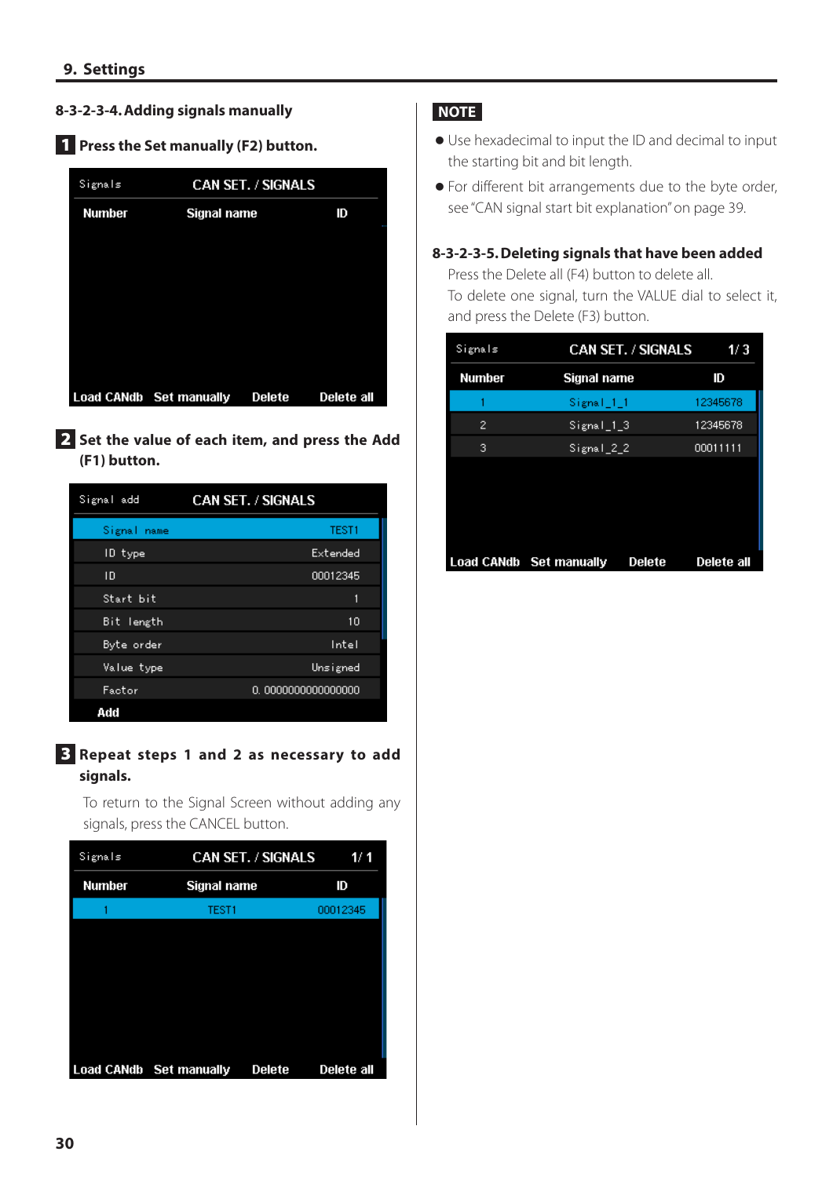#### **8-3-2-3-4.Adding signals manually**

# 1 **Press the Set manually (F2) button.**

| Signals       | <b>CAN SET. / SIGNALS</b> |        |            |  |
|---------------|---------------------------|--------|------------|--|
| <b>Number</b> | Signal name               |        | ID         |  |
|               |                           |        |            |  |
|               |                           |        |            |  |
|               |                           |        |            |  |
|               |                           |        |            |  |
|               |                           |        |            |  |
|               | Load CANdb Set manually   | Delete | Delete all |  |

#### 2 **Set the value of each item, and press the Add (F1) button.**

| Signal add        | <b>CAN SET. / SIGNALS</b> |  |
|-------------------|---------------------------|--|
| Signal<br>name    | TEST1                     |  |
| ID type           | Extended                  |  |
| ID                | 00012345                  |  |
| Start bit         | 1                         |  |
| Bit length        | 10                        |  |
| Byte order        | Intel                     |  |
| <u>Value</u> type | <u>Unsigned</u>           |  |
| Factor            | 0.0000000000000000        |  |
| Add               |                           |  |

#### 3 **Repeat steps 1 and 2 as necessary to add signals.**

To return to the Signal Screen without adding any signals, press the CANCEL button.

| Signals       |                         | <b>CAN SET. / SIGNALS</b> | 1/1        |
|---------------|-------------------------|---------------------------|------------|
| <b>Number</b> | Signal name             |                           | ID         |
|               | TEST1                   |                           | 00012345   |
|               |                         |                           |            |
|               |                         |                           |            |
|               |                         |                           |            |
|               |                         |                           |            |
|               |                         |                           |            |
|               |                         |                           |            |
|               | Load CANdb Set manually | Delete                    | Delete all |

#### **NOTE**

- o Use hexadecimal to input the ID and decimal to input the starting bit and bit length.
- o For different bit arrangements due to the byte order, see ["CAN signal start bit explanation" on page 39](#page-38-1).

#### **8-3-2-3-5.Deleting signals that have been added**

Press the Delete all (F4) button to delete all. To delete one signal, turn the VALUE dial to select it, and press the Delete (F3) button.

| Signals       | CAN SET. / SIGNALS                | 1/3        |
|---------------|-----------------------------------|------------|
| <b>Number</b> | Signal name                       | ID         |
|               | Signal 11                         | 12345678   |
| 2             | $Signal_1_3$                      | 12345678   |
| 3             | Signal 22                         | 00011111   |
|               |                                   |            |
|               |                                   |            |
|               |                                   |            |
|               |                                   |            |
|               | Load CANdb Set manually<br>Delete | Delete all |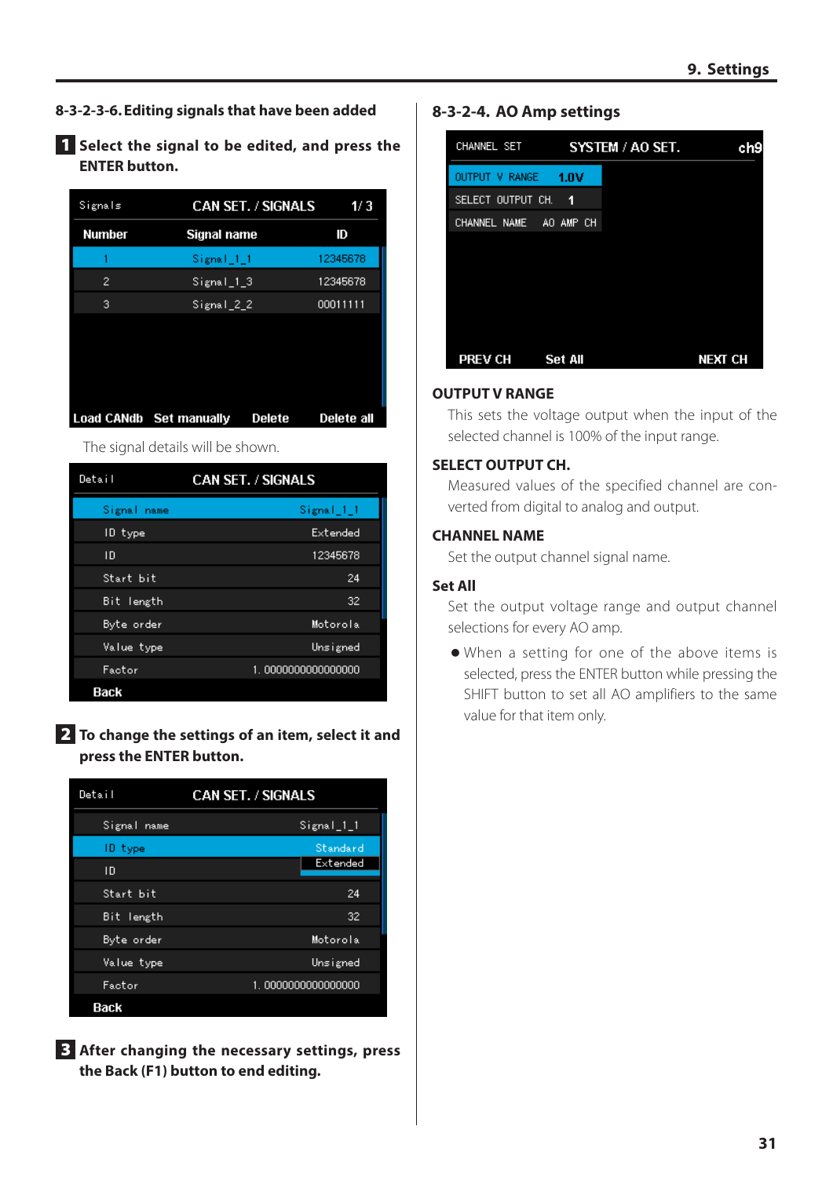- **8-3-2-3-6.Editing signals that have been added**
- 1 **Select the signal to be edited, and press the ENTER button.**

| Signals       | <b>CAN SET. / SIGNALS</b>         | 1/3        |
|---------------|-----------------------------------|------------|
| <b>Number</b> | Signal name                       | ID         |
|               | Signal 1-1                        | 12345678   |
| 2             | $Signal_1_3$                      | 12345678   |
| 3             | Signal 22                         | 00011111   |
|               |                                   |            |
|               |                                   |            |
|               |                                   |            |
|               |                                   |            |
|               | Load CANdb Set manually<br>Delete | Delete all |

The signal details will be shown.

| Detail         | <b>CAN SET. / SIGNALS</b> |
|----------------|---------------------------|
| Signal<br>name | Signal_1_1                |
| ID type        | Extended                  |
| ΙD             | 12345678                  |
| Start bit      | 24                        |
| Bit length     | 32                        |
| Byte order     | Motorola                  |
| Value type     | Unsigned                  |
| Factor         | 1.0000000000000000        |
| Back           |                           |

2 **To change the settings of an item, select it and press the ENTER button.**

| Detail      | <b>CAN SET. / SIGNALS</b> |  |
|-------------|---------------------------|--|
| Signal name | Signal_1_1                |  |
| ID type     | Standard                  |  |
| ID          | Extended                  |  |
| Start bit   | 24                        |  |
| Bit length  | 32                        |  |
| Byte order  | Motorola                  |  |
| Value type  | Unsigned                  |  |
| Factor      | 1.0000000000000000        |  |
| Back        |                           |  |

3 **After changing the necessary settings, press the Back (F1) button to end editing.**

#### **8-3-2-4. AO Amp settings**

| CHANNEL SET            |                | SYSTEM / AO SET. | ch9            |
|------------------------|----------------|------------------|----------------|
| OUTPUT V RANGE         | – 1.0V         |                  |                |
| SELECT OUTPUT CH. 1    |                |                  |                |
| CHANNEL NAME AO AMP CH |                |                  |                |
|                        |                |                  |                |
|                        |                |                  |                |
|                        |                |                  |                |
|                        |                |                  |                |
|                        |                |                  |                |
| <b>PREV CH</b>         | <b>Set All</b> |                  | <b>NEXT CH</b> |

#### **OUTPUT V RANGE**

This sets the voltage output when the input of the selected channel is 100% of the input range.

#### **SELECT OUTPUT CH.**

Measured values of the specified channel are converted from digital to analog and output.

#### **CHANNEL NAME**

Set the output channel signal name.

#### **Set All**

Set the output voltage range and output channel selections for every AO amp.

o When a setting for one of the above items is selected, press the ENTER button while pressing the SHIFT button to set all AO amplifiers to the same value for that item only.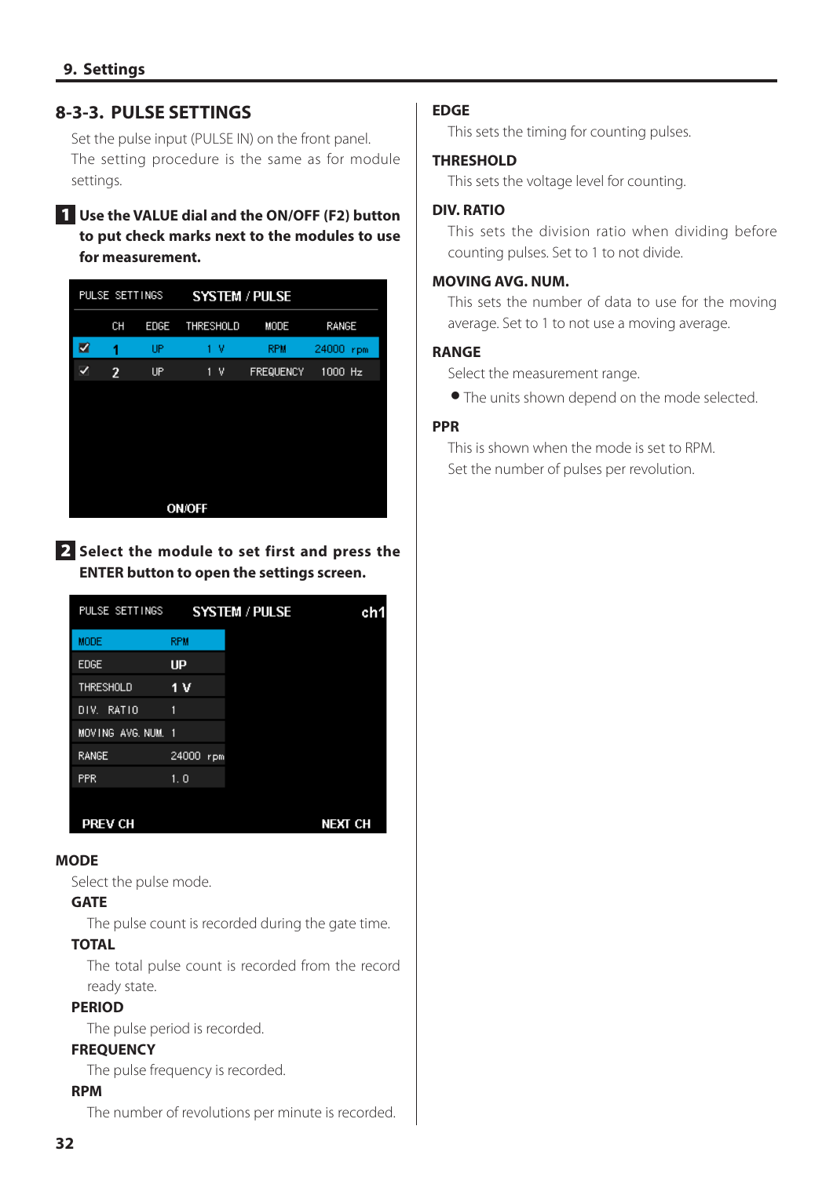#### <span id="page-31-0"></span>**8-3-3. PULSE SETTINGS**

Set the pulse input (PULSE IN) on the front panel. The setting procedure is the same as for module settings.

#### 1 **Use the VALUE dial and the ON/OFF (F2) button to put check marks next to the modules to use for measurement.**

|   | PULSE SETTINGS |      | <b>SYSTEM / PULSE</b> |                  |              |
|---|----------------|------|-----------------------|------------------|--------------|
|   | CН             | EDGE | THRESHOLD             | MODE             | RANGE        |
| ☑ | 1              | UP   | 1 V                   | <b>RPM</b>       | 24000<br>rpm |
| ✓ | 2              | UP   | 1<br>٧                | <b>FREQUENCY</b> | $1000$ Hz    |
|   |                |      |                       |                  |              |
|   |                |      |                       |                  |              |
|   |                |      |                       |                  |              |
|   |                |      |                       |                  |              |
|   |                |      |                       |                  |              |
|   |                |      | <b>ON/OFF</b>         |                  |              |

#### 2 **Select the module to set first and press the ENTER button to open the settings screen.**

| PULSE SETTINGS     |              | <b>SYSTEM / PULSE</b> | ch1        |
|--------------------|--------------|-----------------------|------------|
| <b>MODE</b>        | <b>RPM</b>   |                       |            |
| <b>EDGE</b>        | UP           |                       |            |
| THRESHOLD          | 1 V          |                       |            |
| RAT10<br>DIV.      | 1            |                       |            |
| MOVING AVG, NUM, 1 |              |                       |            |
| <b>RANGE</b>       | 24000<br>rpm |                       |            |
| <b>PPR</b>         | 1.0          |                       |            |
| PREV CH            |              |                       | NEXT<br>CН |

#### **MODE**

Select the pulse mode.

#### **GATE**

The pulse count is recorded during the gate time.

#### **TOTAL**

The total pulse count is recorded from the record ready state.

#### **PERIOD**

The pulse period is recorded.

#### **FREQUENCY**

The pulse frequency is recorded.

#### **RPM**

The number of revolutions per minute is recorded.

#### **EDGE**

This sets the timing for counting pulses.

#### **THRESHOLD**

This sets the voltage level for counting.

#### **DIV. RATIO**

This sets the division ratio when dividing before counting pulses. Set to 1 to not divide.

#### **MOVING AVG. NUM.**

This sets the number of data to use for the moving average. Set to 1 to not use a moving average.

#### **RANGE**

Select the measurement range.

o The units shown depend on the mode selected.

#### **PPR**

This is shown when the mode is set to RPM. Set the number of pulses per revolution.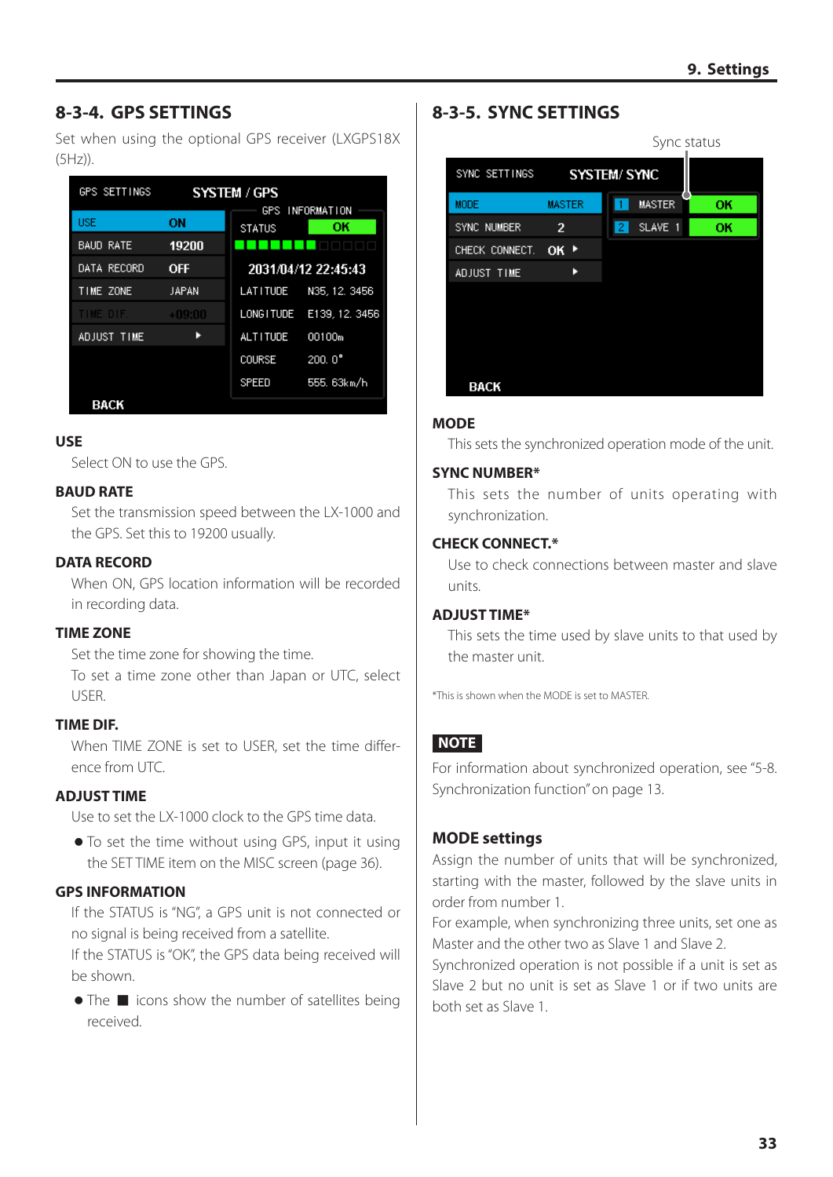## <span id="page-32-0"></span>**8-3-4. GPS SETTINGS**

Set when using the optional GPS receiver (LXGPS18X (5Hz)).

| <b>GPS SETTINGS</b> | SYSTEM / GPS |                 |                       |
|---------------------|--------------|-----------------|-----------------------|
| <b>USE</b>          | ΟN           | <b>STATUS</b>   | GPS INFORMATION<br>ОΚ |
| <b>BAUD RATE</b>    | 19200        |                 |                       |
| DATA RECORD         | <b>OFF</b>   |                 | 2031/04/12 22:45:43   |
| TIME ZONE           | JAPAN        | LATITUDE        | N35, 12, 3456         |
| TIME DIF.           | $+09:00$     | LONG I TUDE     | E139, 12, 3456        |
| ADJUST TIME         |              | <b>ALTITUDE</b> | 00100m                |
|                     |              | <b>COURSE</b>   | $200.0^{\circ}$       |
|                     |              | SPEED           | 555. 63km/h           |
| DACK                |              |                 |                       |

#### **USE**

Select ON to use the GPS.

#### **BAUD RATE**

Set the transmission speed between the LX-1000 and the GPS. Set this to 19200 usually.

#### **DATA RECORD**

When ON, GPS location information will be recorded in recording data.

#### **TIME ZONE**

Set the time zone for showing the time. To set a time zone other than Japan or UTC, select USER.

#### **TIME DIF.**

When TIME ZONE is set to USER, set the time difference from UTC.

#### **ADJUST TIME**

Use to set the LX-1000 clock to the GPS time data.

o To set the time without using GPS, input it using the SET TIME item on the MISC screen ([page 36](#page-35-1)).

#### **GPS INFORMATION**

If the STATUS is "NG", a GPS unit is not connected or no signal is being received from a satellite.

If the STATUS is "OK", the GPS data being received will be shown.

 $\bullet$  The  $\blacksquare$  icons show the number of satellites being received.

#### <span id="page-32-1"></span>**8-3-5. SYNC SETTINGS**



#### **MODE**

This sets the synchronized operation mode of the unit.

#### **SYNC NUMBER\***

This sets the number of units operating with synchronization.

#### **CHECK CONNECT.\***

Use to check connections between master and slave units.

#### **ADJUST TIME\***

This sets the time used by slave units to that used by the master unit.

\*This is shown when the MODE is set to MASTER.

#### **NOTE**

For information about synchronized operation, see ["5-8.](#page-12-1)  [Synchronization function" on page 13.](#page-12-1)

#### **MODE settings**

Assign the number of units that will be synchronized, starting with the master, followed by the slave units in order from number 1.

For example, when synchronizing three units, set one as Master and the other two as Slave 1 and Slave 2.

Synchronized operation is not possible if a unit is set as Slave 2 but no unit is set as Slave 1 or if two units are both set as Slave 1.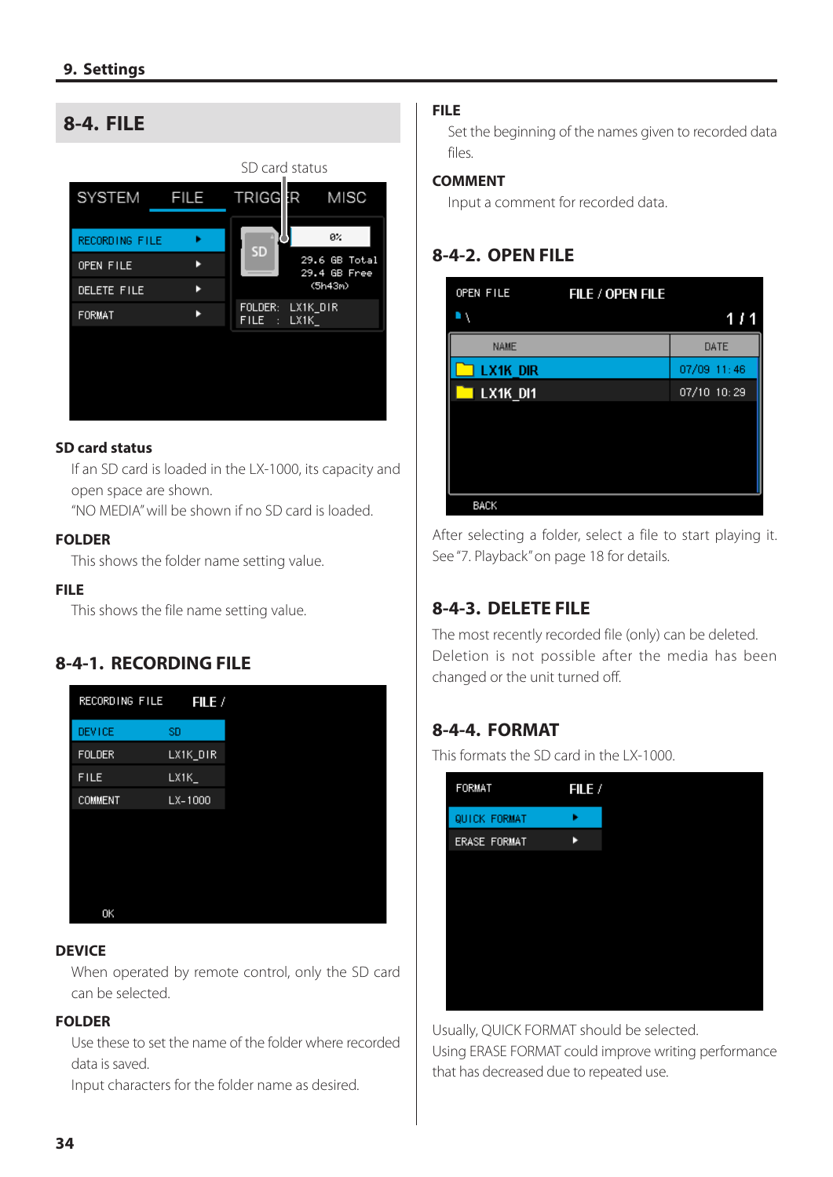#### <span id="page-33-1"></span><span id="page-33-0"></span>**8-4. FILE** SD card status TRIGGER **SYSTEM FILE MISC** яż. RECORDING FILE ¥ SD 29.6 GB Total<br>29.4 GB Free OPEN FILE к  $(5h43m)$ DELETE FILE ь FOLDER: LX1K\_DIR FORMAT ×  $FILE$  :  $LX1K$

#### **SD card status**

If an SD card is loaded in the LX-1000, its capacity and open space are shown.

"NO MEDIA" will be shown if no SD card is loaded.

#### **FOLDER**

This shows the folder name setting value.

#### **FILE**

This shows the file name setting value.

# **8-4-1. RECORDING FILE**

| RECORDING FILE | FILE /      |  |
|----------------|-------------|--|
| <b>DEVICE</b>  | <b>SD</b>   |  |
| <b>FOLDER</b>  | LX1K_DIR    |  |
| <b>FILE</b>    | $LX1K_{-}$  |  |
| <b>COMMENT</b> | $LX - 1000$ |  |
|                |             |  |
|                |             |  |
|                |             |  |
|                |             |  |
| OK             |             |  |
|                |             |  |

#### **DEVICE**

When operated by remote control, only the SD card can be selected.

#### **FOLDER**

Use these to set the name of the folder where recorded data is saved.

Input characters for the folder name as desired.

#### **FILE**

Set the beginning of the names given to recorded data files.

#### **COMMENT**

Input a comment for recorded data.

#### **8-4-2. OPEN FILE**

| OPEN FILE   | FILE / OPEN FILE |             |
|-------------|------------------|-------------|
|             |                  | 1 / 1       |
| <b>NAME</b> |                  | DATE        |
| LX1K DIR    |                  | 07/09 11:46 |
| LX1K_DI1    |                  | 07/10 10:29 |
|             |                  |             |
|             |                  |             |
|             |                  |             |
|             |                  |             |
| <b>BACK</b> |                  |             |

After selecting a folder, select a file to start playing it. See ["7. Playback" on page 18](#page-17-1) for details.

# **8-4-3. DELETE FILE**

The most recently recorded file (only) can be deleted. Deletion is not possible after the media has been changed or the unit turned off.

#### **8-4-4. FORMAT**

This formats the SD card in the LX-1000.

| FORMAT       | FILE / |
|--------------|--------|
| QUICK FORMAT | ь      |
| ERASE FORMAT | ь      |
|              |        |
|              |        |
|              |        |
|              |        |
|              |        |
|              |        |
|              |        |

Usually, QUICK FORMAT should be selected. Using ERASE FORMAT could improve writing performance that has decreased due to repeated use.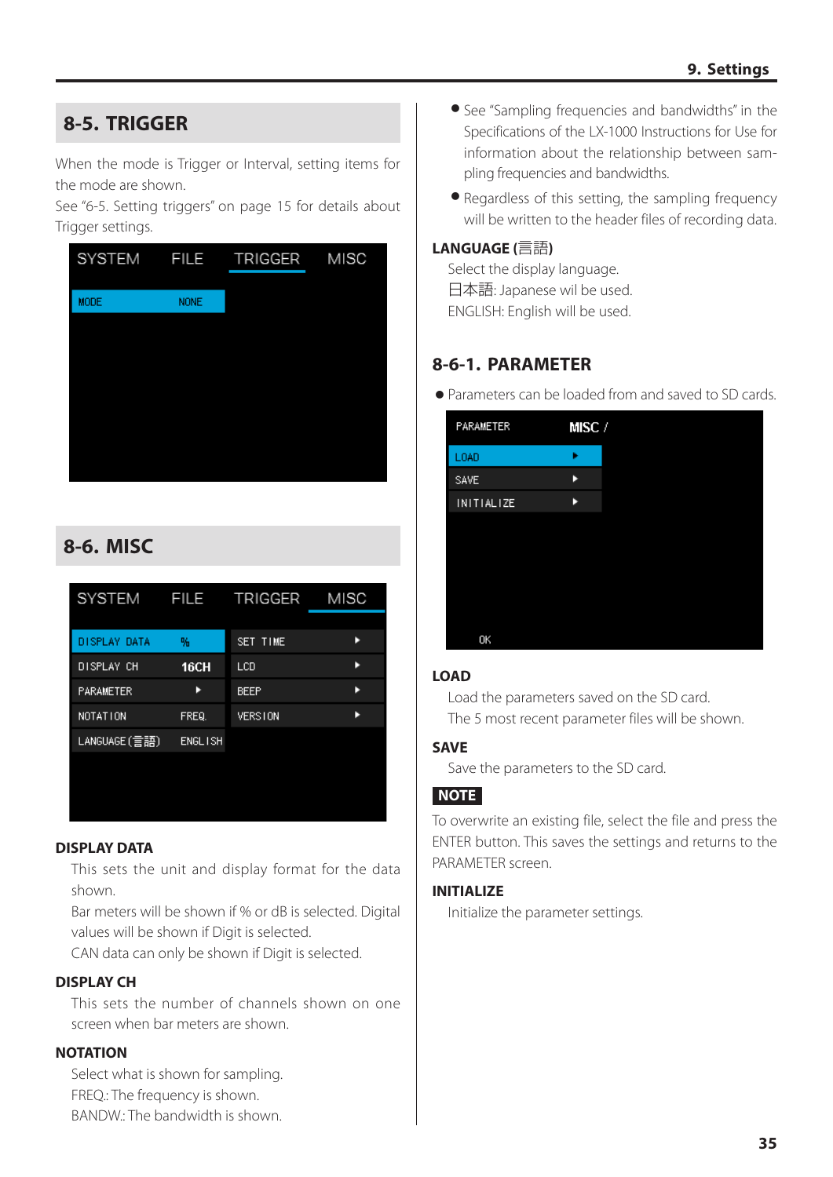# <span id="page-34-3"></span><span id="page-34-0"></span>**8-5. TRIGGER**

When the mode is Trigger or Interval, setting items for the mode are shown.

See ["6-5. Setting triggers" on page 15](#page-14-1) for details about Trigger settings.

| <b>SYSTEM</b> | <b>FILE</b> | TRIGGER | MISC |
|---------------|-------------|---------|------|
| <b>MODE</b>   | <b>NONE</b> |         |      |
|               |             |         |      |
|               |             |         |      |
|               |             |         |      |
|               |             |         |      |
|               |             |         |      |
|               |             |         |      |

# <span id="page-34-1"></span>**8-6. MISC**

| 呖              | SET TIME       |                   |
|----------------|----------------|-------------------|
| 16CH           | LCD            |                   |
|                | <b>BEEP</b>    |                   |
| FREQ.          | <b>VERSTON</b> |                   |
| <b>ENGLISH</b> |                |                   |
|                |                |                   |
|                |                |                   |
|                |                | FILE TRIGGER MISC |

#### **DISPLAY DATA**

This sets the unit and display format for the data shown.

Bar meters will be shown if % or dB is selected. Digital values will be shown if Digit is selected.

CAN data can only be shown if Digit is selected.

#### **DISPLAY CH**

This sets the number of channels shown on one screen when bar meters are shown.

#### **NOTATION**

Select what is shown for sampling. FREQ.: The frequency is shown. BANDW.: The bandwidth is shown.

- o See "Sampling frequencies and bandwidths" in the Specifications of the LX-1000 Instructions for Use for information about the relationship between sampling frequencies and bandwidths.
- Regardless of this setting, the sampling frequency will be written to the header files of recording data.

#### **LANGUAGE (**言語**)**

Select the display language. 日本語: Japanese wil be used. ENGLISH: English will be used.

#### <span id="page-34-2"></span>**8-6-1. PARAMETER**

o Parameters can be loaded from and saved to SD cards.

| PARAMETER         | MISC / |
|-------------------|--------|
| LOAD              |        |
| <b>SAVE</b>       | ь      |
| <b>INITIALIZE</b> | ь      |
|                   |        |
|                   |        |
|                   |        |
|                   |        |
|                   |        |
| OK                |        |

#### **LOAD**

Load the parameters saved on the SD card. The 5 most recent parameter files will be shown.

#### **SAVE**

Save the parameters to the SD card.

#### **NOTE**

To overwrite an existing file, select the file and press the ENTER button. This saves the settings and returns to the PARAMETER screen.

#### **INITIALIZE**

Initialize the parameter settings.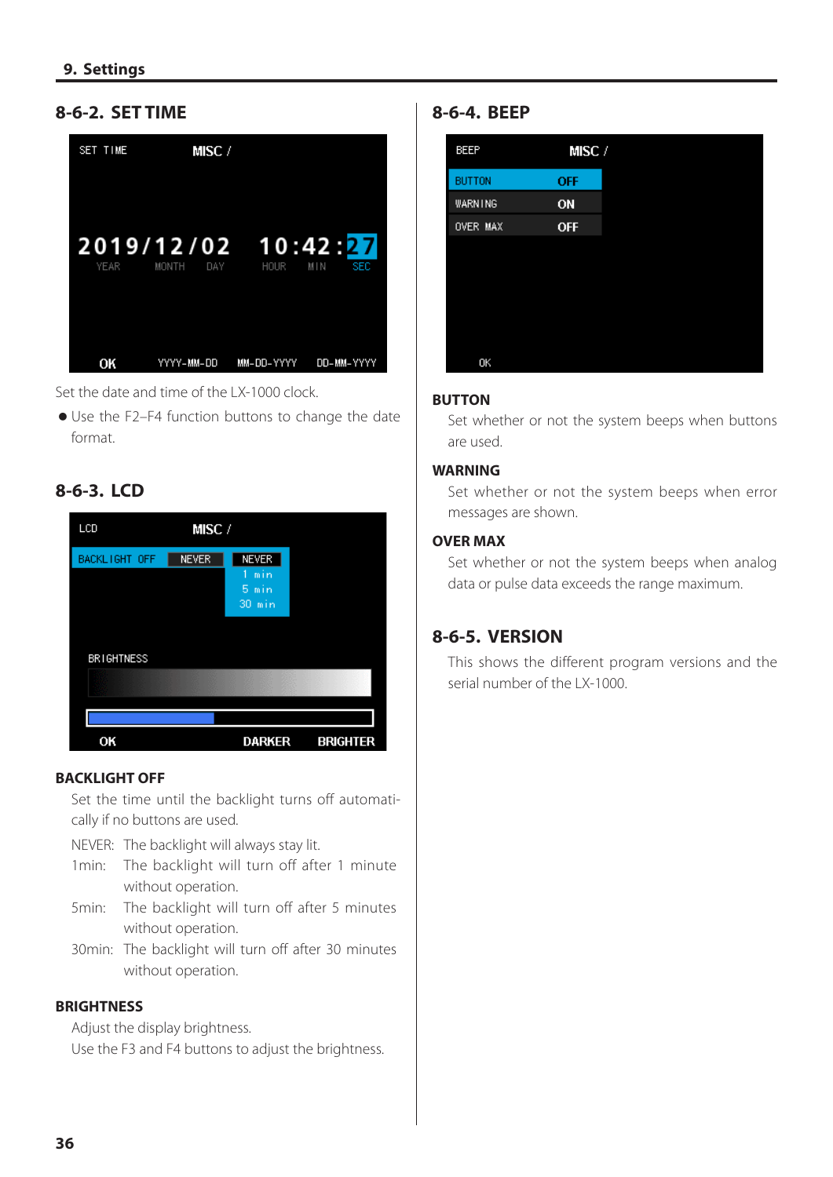#### <span id="page-35-1"></span><span id="page-35-0"></span>**8-6-2. SET TIME**



Set the date and time of the LX-1000 clock.

o Use the F2–F4 function buttons to change the date format.

#### **8-6-3. LCD**



#### **BACKLIGHT OFF**

Set the time until the backlight turns off automatically if no buttons are used.

NEVER: The backlight will always stay lit.

- 1min: The backlight will turn off after 1 minute without operation.
- 5min: The backlight will turn off after 5 minutes without operation.
- 30min: The backlight will turn off after 30 minutes without operation.

#### **BRIGHTNESS**

Adjust the display brightness.

Use the F3 and F4 buttons to adjust the brightness.

#### **8-6-4. BEEP**



#### **BUTTON**

Set whether or not the system beeps when buttons are used.

#### **WARNING**

Set whether or not the system beeps when error messages are shown.

#### **OVER MAX**

Set whether or not the system beeps when analog data or pulse data exceeds the range maximum.

#### **8-6-5. VERSION**

This shows the different program versions and the serial number of the LX-1000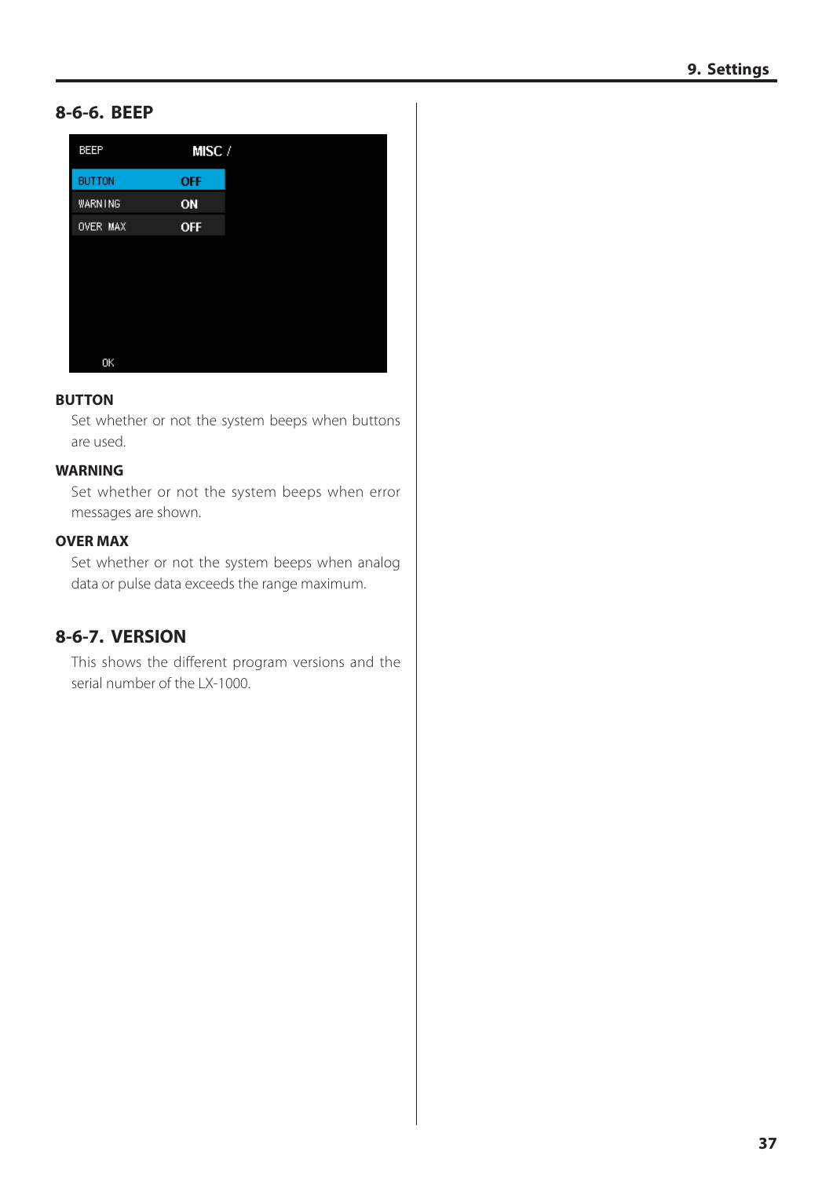#### <span id="page-36-0"></span>**8-6-6. BEEP**

| BEEP          | MISC/      |  |
|---------------|------------|--|
| <b>BUTTON</b> | <b>OFF</b> |  |
| WARNING       | ON         |  |
| OVER MAX      | <b>OFF</b> |  |
|               |            |  |
|               |            |  |
|               |            |  |
|               |            |  |
|               |            |  |
| OK            |            |  |

#### **BUTTON**

Set whether or not the system beeps when buttons are used.

#### **WARNING**

Set whether or not the system beeps when error messages are shown.

#### **OVER MAX**

Set whether or not the system beeps when analog data or pulse data exceeds the range maximum.

#### **8-6-7. VERSION**

This shows the different program versions and the serial number of the LX-1000.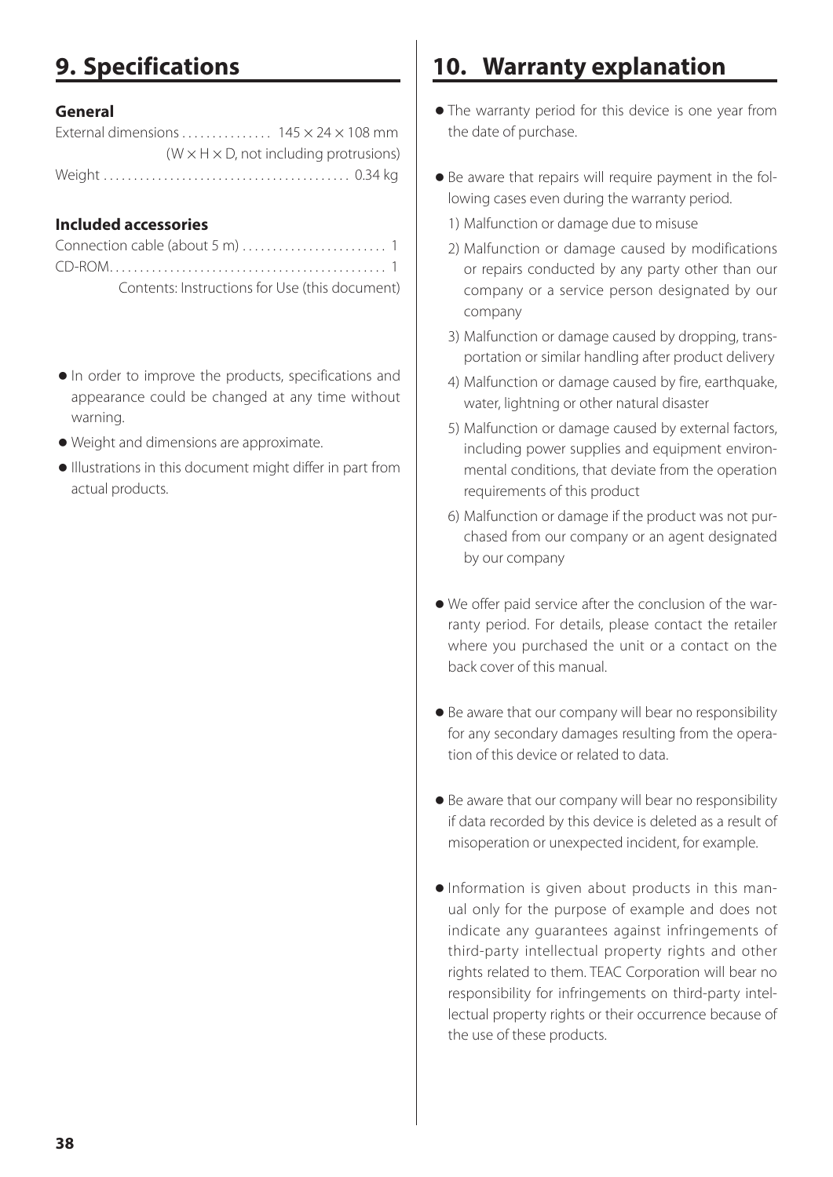# <span id="page-37-1"></span><span id="page-37-0"></span>**9. Specifications**

#### **General**

| External dimensions $145 \times 24 \times 108$ mm |                                                      |
|---------------------------------------------------|------------------------------------------------------|
|                                                   | $(W \times H \times D)$ , not including protrusions) |
|                                                   |                                                      |

#### **Included accessories**

| Contents: Instructions for Use (this document) |  |
|------------------------------------------------|--|

- o In order to improve the products, specifications and appearance could be changed at any time without warning.
- o Weight and dimensions are approximate.
- o Illustrations in this document might differ in part from actual products.

# **10. Warranty explanation**

- o The warranty period for this device is one year from the date of purchase.
- o Be aware that repairs will require payment in the following cases even during the warranty period.
	- 1) Malfunction or damage due to misuse
	- 2) Malfunction or damage caused by modifications or repairs conducted by any party other than our company or a service person designated by our company
	- 3) Malfunction or damage caused by dropping, transportation or similar handling after product delivery
	- 4) Malfunction or damage caused by fire, earthquake, water, lightning or other natural disaster
	- 5) Malfunction or damage caused by external factors, including power supplies and equipment environmental conditions, that deviate from the operation requirements of this product
	- 6) Malfunction or damage if the product was not purchased from our company or an agent designated by our company
- o We offer paid service after the conclusion of the warranty period. For details, please contact the retailer where you purchased the unit or a contact on the back cover of this manual.
- o Be aware that our company will bear no responsibility for any secondary damages resulting from the operation of this device or related to data.
- o Be aware that our company will bear no responsibility if data recorded by this device is deleted as a result of misoperation or unexpected incident, for example.
- o Information is given about products in this manual only for the purpose of example and does not indicate any guarantees against infringements of third-party intellectual property rights and other rights related to them. TEAC Corporation will bear no responsibility for infringements on third-party intellectual property rights or their occurrence because of the use of these products.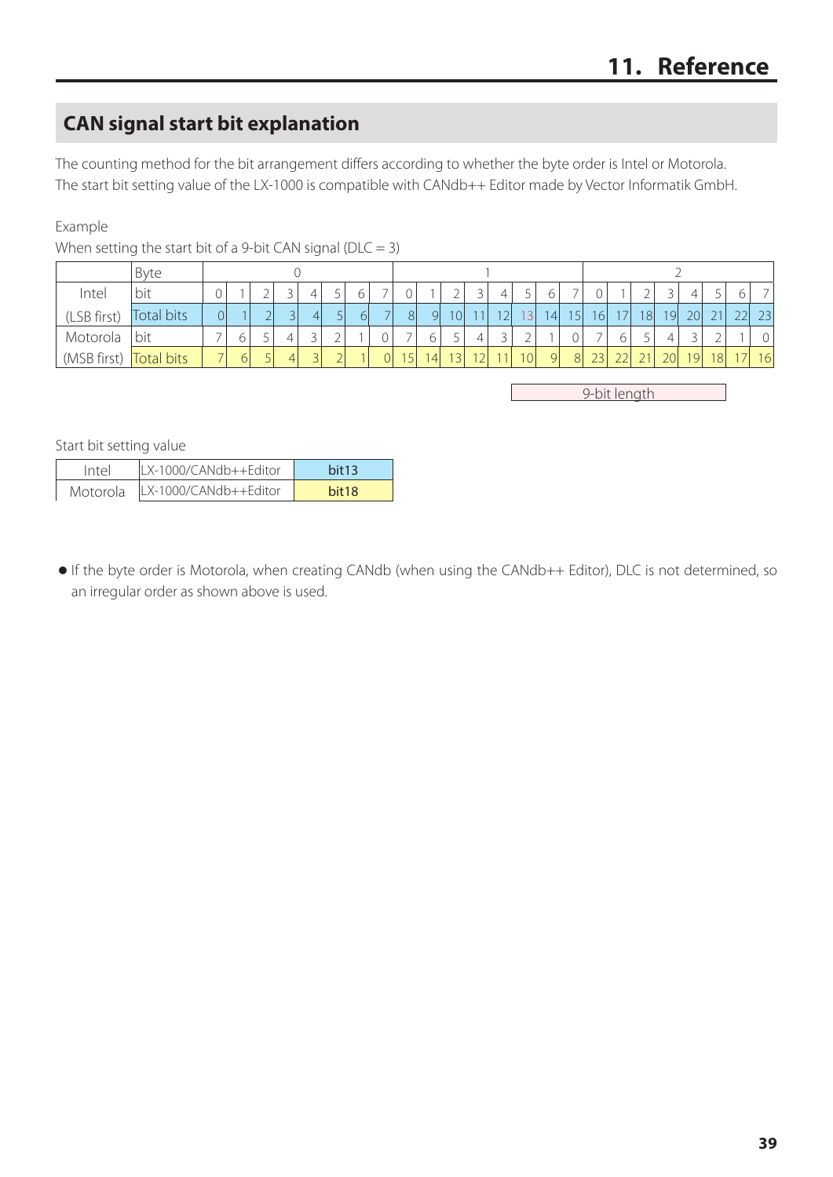# <span id="page-38-1"></span><span id="page-38-0"></span>**CAN signal start bit explanation**

The counting method for the bit arrangement differs according to whether the byte order is Intel or Motorola. The start bit setting value of the LX-1000 is compatible with CANdb++ Editor made by Vector Informatik GmbH.

#### Example

|             | Byte       |          |        |   |                |                          |    |   |                                |                |                          |    |                 |                 |                 |                 |    |                 |                 |                 |    |    |    |                          |
|-------------|------------|----------|--------|---|----------------|--------------------------|----|---|--------------------------------|----------------|--------------------------|----|-----------------|-----------------|-----------------|-----------------|----|-----------------|-----------------|-----------------|----|----|----|--------------------------|
| Intel       | bit        |          |        |   | 4              | ر                        | 6  |   |                                |                |                          |    | 4               |                 | 6               |                 |    |                 |                 |                 | 4  | ر  | 6  | $\overline{\phantom{0}}$ |
| (LSB first) | Total bits | $\Omega$ |        |   | 4 <sup>1</sup> |                          | 61 | ⇁ | 8 <sup>1</sup>                 | 9              | 10                       |    | 12 <sub>1</sub> | .31             | $\vert 4 \vert$ | 15 <sub>l</sub> | 16 | 7 <sup>1</sup>  | 18 <sup>l</sup> | 19 <sup>1</sup> | 20 | 21 | 22 | 23                       |
| Motorola    | bit        |          | n<br>U |   |                | ∠                        |    | 0 |                                | 6              | $\overline{\phantom{0}}$ |    | <u>.</u>        |                 |                 |                 |    |                 | ر               |                 |    |    |    |                          |
| (MSB first) | Total bits |          |        | 4 |                | $\overline{\phantom{0}}$ |    | 0 | 15<br>$\overline{\phantom{a}}$ | $\overline{4}$ | 13 <sub>1</sub>          | 12 | 11 <sub>1</sub> | 10 <sup>1</sup> | -QI             | 8 <sup>l</sup>  | 23 | าว $\mathsf{I}$ |                 | 20              | 19 | 18 | 17 | 16                       |

When setting the start bit of a 9-bit CAN signal ( $DLC = 3$ )

9-bit length

Start bit setting value

| Intel    | ILX-1000/CANdb++Editor | hit13             |
|----------|------------------------|-------------------|
| Motorola | LX-1000/CANdb++Editor  | hit <sub>18</sub> |

o If the byte order is Motorola, when creating CANdb (when using the CANdb++ Editor), DLC is not determined, so an irregular order as shown above is used.